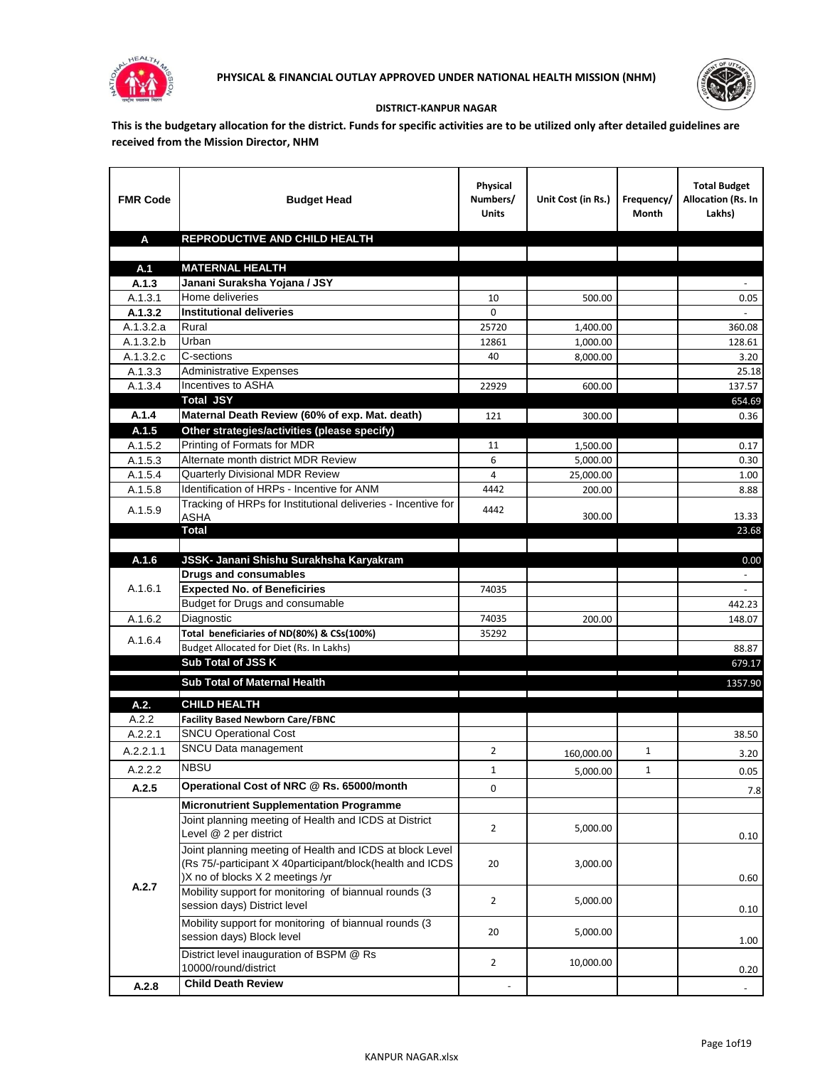



## **DISTRICT-KANPUR NAGAR**

**This is the budgetary allocation for the district. Funds for specific activities are to be utilized only after detailed guidelines are received from the Mission Director, NHM**

| <b>FMR Code</b>      | <b>Budget Head</b>                                                              | Physical<br>Numbers/<br><b>Units</b>                                            | Unit Cost (in Rs.) | Frequency/<br>Month                                                                                                                                                                                                                  | <b>Total Budget</b><br>Allocation (Rs. In<br>Lakhs) |
|----------------------|---------------------------------------------------------------------------------|---------------------------------------------------------------------------------|--------------------|--------------------------------------------------------------------------------------------------------------------------------------------------------------------------------------------------------------------------------------|-----------------------------------------------------|
| A                    | REPRODUCTIVE AND CHILD HEALTH                                                   |                                                                                 |                    |                                                                                                                                                                                                                                      |                                                     |
|                      |                                                                                 |                                                                                 |                    |                                                                                                                                                                                                                                      |                                                     |
| A.1                  | <b>MATERNAL HEALTH</b>                                                          |                                                                                 |                    |                                                                                                                                                                                                                                      |                                                     |
| A.1.3                | Janani Suraksha Yojana / JSY                                                    |                                                                                 |                    |                                                                                                                                                                                                                                      |                                                     |
| A.1.3.1              | Home deliveries                                                                 | 10                                                                              | 500.00             |                                                                                                                                                                                                                                      | 0.05                                                |
| A.1.3.2              | <b>Institutional deliveries</b>                                                 | 0                                                                               |                    |                                                                                                                                                                                                                                      |                                                     |
| A.1.3.2.a            | Rural                                                                           | 25720                                                                           | 1,400.00           |                                                                                                                                                                                                                                      | 360.08                                              |
| A.1.3.2.b            | Urban<br>C-sections                                                             | 12861                                                                           | 1,000.00           |                                                                                                                                                                                                                                      | 128.61                                              |
| A.1.3.2.c<br>A.1.3.3 | <b>Administrative Expenses</b>                                                  | 40                                                                              | 8,000.00           |                                                                                                                                                                                                                                      | 3.20                                                |
| A.1.3.4              | Incentives to ASHA                                                              | 22929                                                                           | 600.00             |                                                                                                                                                                                                                                      | 25.18<br>137.57                                     |
|                      | <b>Total JSY</b>                                                                |                                                                                 |                    |                                                                                                                                                                                                                                      | 654.69                                              |
| A.1.4                | Maternal Death Review (60% of exp. Mat. death)                                  | 121                                                                             | 300.00             |                                                                                                                                                                                                                                      | 0.36                                                |
| A.1.5                | Other strategies/activities (please specify)                                    |                                                                                 |                    |                                                                                                                                                                                                                                      |                                                     |
| A.1.5.2              | Printing of Formats for MDR                                                     | 11                                                                              | 1,500.00           |                                                                                                                                                                                                                                      | 0.17                                                |
| A.1.5.3              | Alternate month district MDR Review                                             | 6                                                                               | 5,000.00           |                                                                                                                                                                                                                                      | 0.30                                                |
| A.1.5.4              | <b>Quarterly Divisional MDR Review</b>                                          | 4                                                                               | 25,000.00          |                                                                                                                                                                                                                                      | 1.00                                                |
| A.1.5.8              | Identification of HRPs - Incentive for ANM                                      | 4442                                                                            | 200.00             |                                                                                                                                                                                                                                      | 8.88                                                |
|                      | Tracking of HRPs for Institutional deliveries - Incentive for                   |                                                                                 |                    |                                                                                                                                                                                                                                      |                                                     |
| A.1.5.9              | ASHA                                                                            | 4442                                                                            | 300.00             |                                                                                                                                                                                                                                      | 13.33                                               |
|                      | Total                                                                           |                                                                                 |                    |                                                                                                                                                                                                                                      | 23.68                                               |
|                      |                                                                                 |                                                                                 |                    |                                                                                                                                                                                                                                      |                                                     |
| A.1.6                | JSSK- Janani Shishu Surakhsha Karyakram                                         |                                                                                 |                    |                                                                                                                                                                                                                                      | 0.00                                                |
|                      | <b>Drugs and consumables</b>                                                    |                                                                                 |                    |                                                                                                                                                                                                                                      | $\sim$                                              |
| A.1.6.1              | <b>Expected No. of Beneficiries</b>                                             | 74035                                                                           |                    |                                                                                                                                                                                                                                      |                                                     |
|                      | Budget for Drugs and consumable                                                 |                                                                                 |                    |                                                                                                                                                                                                                                      | 442.23                                              |
| A.1.6.2              | Diagnostic                                                                      | 74035                                                                           | 200.00             |                                                                                                                                                                                                                                      | 148.07                                              |
| A.1.6.4              | Total beneficiaries of ND(80%) & CSs(100%)                                      | 35292                                                                           |                    |                                                                                                                                                                                                                                      |                                                     |
|                      | Budget Allocated for Diet (Rs. In Lakhs)                                        |                                                                                 |                    |                                                                                                                                                                                                                                      | 88.87                                               |
|                      | <b>Sub Total of JSS K</b>                                                       |                                                                                 |                    |                                                                                                                                                                                                                                      | 679.17                                              |
|                      | Sub Total of Maternal Health                                                    |                                                                                 |                    |                                                                                                                                                                                                                                      | 1357.90                                             |
| A.2.                 | <b>CHILD HEALTH</b>                                                             | the contract of the contract of the contract of the contract of the contract of |                    | <u> The Communication of the Communication of the Communication of the Communication of the Communication of the Communication of the Communication of the Communication of the Communication of the Communication of the Commun</u> |                                                     |
| A.2.2                | <b>Facility Based Newborn Care/FBNC</b>                                         |                                                                                 |                    |                                                                                                                                                                                                                                      |                                                     |
| A.2.2.1              | <b>SNCU Operational Cost</b>                                                    |                                                                                 |                    |                                                                                                                                                                                                                                      | 38.50                                               |
| A.2.2.1.1            | SNCU Data management                                                            | 2                                                                               |                    | 1                                                                                                                                                                                                                                    |                                                     |
|                      | <b>NBSU</b>                                                                     |                                                                                 | 160,000.00         |                                                                                                                                                                                                                                      | 3.20                                                |
| A.2.2.2              |                                                                                 | $\mathbf{1}$                                                                    | 5,000.00           | 1                                                                                                                                                                                                                                    | 0.05                                                |
| A.2.5                | Operational Cost of NRC @ Rs. 65000/month                                       | 0                                                                               |                    |                                                                                                                                                                                                                                      | 7.8                                                 |
|                      | <b>Micronutrient Supplementation Programme</b>                                  |                                                                                 |                    |                                                                                                                                                                                                                                      |                                                     |
|                      | Joint planning meeting of Health and ICDS at District<br>Level @ 2 per district | $\overline{2}$                                                                  | 5,000.00           |                                                                                                                                                                                                                                      |                                                     |
|                      | Joint planning meeting of Health and ICDS at block Level                        |                                                                                 |                    |                                                                                                                                                                                                                                      | 0.10                                                |
|                      | (Rs 75/-participant X 40participant/block(health and ICDS                       | 20                                                                              | 3,000.00           |                                                                                                                                                                                                                                      |                                                     |
|                      | )X no of blocks X 2 meetings /yr                                                |                                                                                 |                    |                                                                                                                                                                                                                                      | 0.60                                                |
| A.2.7                | Mobility support for monitoring of biannual rounds (3                           |                                                                                 |                    |                                                                                                                                                                                                                                      |                                                     |
|                      | session days) District level                                                    | $\overline{2}$                                                                  | 5,000.00           |                                                                                                                                                                                                                                      | 0.10                                                |
|                      | Mobility support for monitoring of biannual rounds (3                           |                                                                                 |                    |                                                                                                                                                                                                                                      |                                                     |
|                      | session days) Block level                                                       | 20                                                                              | 5,000.00           |                                                                                                                                                                                                                                      | 1.00                                                |
|                      | District level inauguration of BSPM @ Rs                                        |                                                                                 |                    |                                                                                                                                                                                                                                      |                                                     |
|                      | 10000/round/district                                                            | $\overline{2}$                                                                  | 10,000.00          |                                                                                                                                                                                                                                      | 0.20                                                |
| A.2.8                | <b>Child Death Review</b>                                                       |                                                                                 |                    |                                                                                                                                                                                                                                      |                                                     |
|                      |                                                                                 |                                                                                 |                    |                                                                                                                                                                                                                                      |                                                     |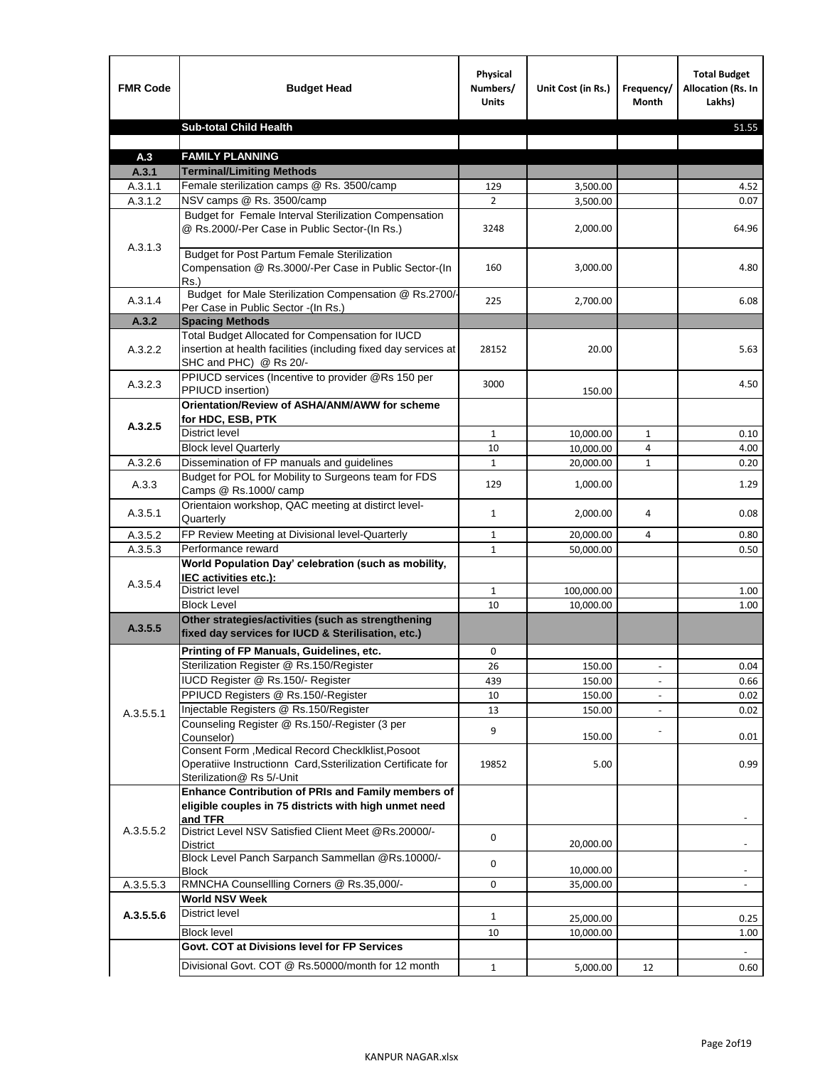| <b>FMR Code</b>    | <b>Budget Head</b>                                                                                                                            | Physical<br>Numbers/<br><b>Units</b> | Unit Cost (in Rs.) | Frequency/<br><b>Month</b> | <b>Total Budget</b><br>Allocation (Rs. In<br>Lakhs) |
|--------------------|-----------------------------------------------------------------------------------------------------------------------------------------------|--------------------------------------|--------------------|----------------------------|-----------------------------------------------------|
|                    | <b>Sub-total Child Health</b>                                                                                                                 |                                      |                    |                            | 51.55                                               |
|                    |                                                                                                                                               |                                      |                    |                            |                                                     |
| A.3                | <b>FAMILY PLANNING</b>                                                                                                                        |                                      |                    |                            |                                                     |
| A.3.1              | <b>Terminal/Limiting Methods</b>                                                                                                              |                                      |                    |                            |                                                     |
| A.3.1.1<br>A.3.1.2 | Female sterilization camps @ Rs. 3500/camp<br>NSV camps @ Rs. 3500/camp                                                                       | 129<br>$\overline{2}$                | 3,500.00           |                            | 4.52<br>0.07                                        |
|                    | Budget for Female Interval Sterilization Compensation                                                                                         |                                      | 3,500.00           |                            |                                                     |
| A.3.1.3            | @ Rs.2000/-Per Case in Public Sector-(In Rs.)                                                                                                 | 3248                                 | 2,000.00           |                            | 64.96                                               |
|                    | <b>Budget for Post Partum Female Sterilization</b><br>Compensation @ Rs.3000/-Per Case in Public Sector-(In<br>$Rs.$ )                        | 160                                  | 3,000.00           |                            | 4.80                                                |
| A.3.1.4            | Budget for Male Sterilization Compensation @ Rs.2700/-<br>Per Case in Public Sector -(In Rs.)                                                 | 225                                  | 2,700.00           |                            | 6.08                                                |
| A.3.2              | <b>Spacing Methods</b>                                                                                                                        |                                      |                    |                            |                                                     |
| A.3.2.2            | Total Budget Allocated for Compensation for IUCD<br>insertion at health facilities (including fixed day services at<br>SHC and PHC) @ Rs 20/- | 28152                                | 20.00              |                            | 5.63                                                |
| A.3.2.3            | PPIUCD services (Incentive to provider @Rs 150 per<br>PPIUCD insertion)                                                                       | 3000                                 | 150.00             |                            | 4.50                                                |
| A.3.2.5            | Orientation/Review of ASHA/ANM/AWW for scheme<br>for HDC, ESB, PTK                                                                            |                                      |                    |                            |                                                     |
|                    | <b>District level</b>                                                                                                                         | $\mathbf{1}$                         | 10,000.00          | $\mathbf{1}$               | 0.10                                                |
|                    | <b>Block level Quarterly</b>                                                                                                                  | 10                                   | 10,000.00          | 4                          | 4.00                                                |
| A.3.2.6            | Dissemination of FP manuals and guidelines                                                                                                    | $\mathbf{1}$                         | 20,000.00          | $\mathbf{1}$               | 0.20                                                |
| A.3.3              | Budget for POL for Mobility to Surgeons team for FDS<br>Camps @ Rs.1000/ camp                                                                 | 129                                  | 1,000.00           |                            | 1.29                                                |
| A.3.5.1            | Orientaion workshop, QAC meeting at distirct level-<br>Quarterly                                                                              | $\mathbf{1}$                         | 2,000.00           | 4                          | 0.08                                                |
| A.3.5.2            | FP Review Meeting at Divisional level-Quarterly                                                                                               | $\mathbf{1}$                         | 20,000.00          | 4                          | 0.80                                                |
| A.3.5.3            | Performance reward                                                                                                                            | $\mathbf{1}$                         | 50,000.00          |                            | 0.50                                                |
| A.3.5.4            | World Population Day' celebration (such as mobility,<br>IEC activities etc.):                                                                 |                                      |                    |                            |                                                     |
|                    | District level                                                                                                                                | $\mathbf{1}$                         | 100,000.00         |                            | 1.00                                                |
|                    | <b>Block Level</b>                                                                                                                            | 10                                   | 10,000.00          |                            | 1.00                                                |
| A.3.5.5            | Other strategies/activities (such as strengthening<br>fixed day services for IUCD & Sterilisation, etc.)                                      |                                      |                    |                            |                                                     |
|                    | Printing of FP Manuals, Guidelines, etc.                                                                                                      | 0                                    |                    |                            |                                                     |
|                    | Sterilization Register @ Rs.150/Register                                                                                                      | 26                                   | 150.00             | $\centerdot$               | 0.04                                                |
|                    | IUCD Register @ Rs.150/- Register                                                                                                             | 439                                  | 150.00             |                            | 0.66                                                |
|                    | PPIUCD Registers @ Rs.150/-Register                                                                                                           | 10                                   | 150.00             |                            | 0.02                                                |
| A.3.5.5.1          | Injectable Registers @ Rs.150/Register                                                                                                        | 13                                   | 150.00             |                            | 0.02                                                |
|                    | Counseling Register @ Rs.150/-Register (3 per<br>Counselor)<br>Consent Form , Medical Record CheckIklist, Posoot                              | 9                                    | 150.00             |                            | 0.01                                                |
|                    | Operatiive Instructionn Card, Ssterilization Certificate for<br>Sterilization@ Rs 5/-Unit                                                     | 19852                                | 5.00               |                            | 0.99                                                |
|                    | Enhance Contribution of PRIs and Family members of<br>eligible couples in 75 districts with high unmet need<br>and TFR                        |                                      |                    |                            |                                                     |
| A.3.5.5.2          | District Level NSV Satisfied Client Meet @Rs.20000/-<br>District                                                                              | 0                                    | 20,000.00          |                            |                                                     |
|                    | Block Level Panch Sarpanch Sammellan @Rs.10000/-<br><b>Block</b>                                                                              | 0                                    | 10,000.00          |                            |                                                     |
| A.3.5.5.3          | RMNCHA Counsellling Corners @ Rs.35,000/-                                                                                                     | 0                                    | 35,000.00          |                            |                                                     |
|                    | <b>World NSV Week</b>                                                                                                                         |                                      |                    |                            |                                                     |
| A.3.5.5.6          | <b>District level</b>                                                                                                                         | $\mathbf{1}$                         | 25,000.00          |                            | 0.25                                                |
|                    | <b>Block level</b>                                                                                                                            | 10                                   | 10,000.00          |                            | 1.00                                                |
|                    | Govt. COT at Divisions level for FP Services                                                                                                  |                                      |                    |                            |                                                     |
|                    | Divisional Govt. COT @ Rs.50000/month for 12 month                                                                                            | $\mathbf{1}$                         | 5,000.00           | 12                         | 0.60                                                |
|                    |                                                                                                                                               |                                      |                    |                            |                                                     |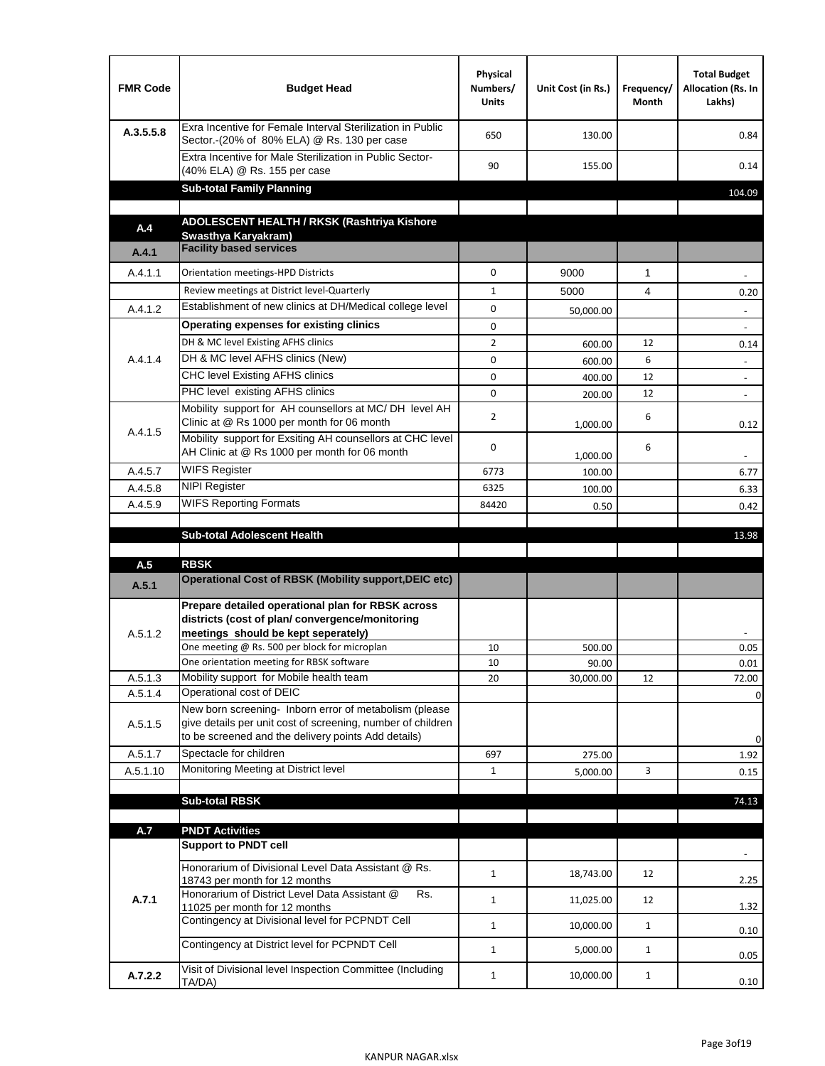| <b>FMR Code</b>    | <b>Budget Head</b>                                                                                                                                                                          | Physical<br>Numbers/<br><b>Units</b> | Unit Cost (in Rs.) | Frequency/<br>Month | <b>Total Budget</b><br>Allocation (Rs. In<br>Lakhs) |
|--------------------|---------------------------------------------------------------------------------------------------------------------------------------------------------------------------------------------|--------------------------------------|--------------------|---------------------|-----------------------------------------------------|
| A.3.5.5.8          | Exra Incentive for Female Interval Sterilization in Public<br>Sector.-(20% of 80% ELA) @ Rs. 130 per case                                                                                   | 650                                  | 130.00             |                     | 0.84                                                |
|                    | Extra Incentive for Male Sterilization in Public Sector-<br>(40% ELA) @ Rs. 155 per case                                                                                                    | 90                                   | 155.00             |                     | 0.14                                                |
|                    | <b>Sub-total Family Planning</b>                                                                                                                                                            |                                      |                    |                     | 104.09                                              |
|                    | ADOLESCENT HEALTH / RKSK (Rashtriya Kishore                                                                                                                                                 |                                      |                    |                     |                                                     |
| A.4                | Swasthya Karyakram)                                                                                                                                                                         |                                      |                    |                     |                                                     |
| A.4.1              | <b>Facility based services</b>                                                                                                                                                              |                                      |                    |                     |                                                     |
| A.4.1.1            | Orientation meetings-HPD Districts                                                                                                                                                          | $\Omega$                             | 9000               | $\mathbf{1}$        |                                                     |
|                    | Review meetings at District level-Quarterly                                                                                                                                                 | $\mathbf{1}$                         | 5000               | 4                   | 0.20                                                |
| A.4.1.2            | Establishment of new clinics at DH/Medical college level                                                                                                                                    | $\Omega$                             | 50,000.00          |                     |                                                     |
|                    | Operating expenses for existing clinics                                                                                                                                                     | 0                                    |                    |                     |                                                     |
|                    | DH & MC level Existing AFHS clinics                                                                                                                                                         | $\overline{2}$                       | 600.00             | 12                  | 0.14                                                |
| A.4.1.4            | DH & MC level AFHS clinics (New)                                                                                                                                                            | 0                                    | 600.00             | 6                   | $\overline{\phantom{a}}$                            |
|                    | CHC level Existing AFHS clinics                                                                                                                                                             | 0                                    | 400.00             | 12                  | $\overline{\phantom{a}}$                            |
|                    | PHC level existing AFHS clinics                                                                                                                                                             | $\Omega$                             | 200.00             | 12                  | $\sim$                                              |
| A.4.1.5            | Mobility support for AH counsellors at MC/DH level AH<br>Clinic at @ Rs 1000 per month for 06 month                                                                                         | 2                                    | 1,000.00           | 6                   | 0.12                                                |
|                    | Mobility support for Exsiting AH counsellors at CHC level<br>AH Clinic at @ Rs 1000 per month for 06 month                                                                                  | 0                                    | 1,000.00           | 6                   |                                                     |
| A.4.5.7            | <b>WIFS Register</b>                                                                                                                                                                        | 6773                                 | 100.00             |                     | 6.77                                                |
| A.4.5.8            | <b>NIPI Register</b>                                                                                                                                                                        | 6325                                 | 100.00             |                     | 6.33                                                |
| A.4.5.9            | <b>WIFS Reporting Formats</b>                                                                                                                                                               | 84420                                | 0.50               |                     | 0.42                                                |
|                    | <b>Sub-total Adolescent Health</b>                                                                                                                                                          |                                      |                    |                     | 13.98                                               |
| A.5                | <b>RBSK</b>                                                                                                                                                                                 |                                      |                    |                     |                                                     |
| A.5.1              | <b>Operational Cost of RBSK (Mobility support, DEIC etc)</b>                                                                                                                                |                                      |                    |                     |                                                     |
| A.5.1.2            | Prepare detailed operational plan for RBSK across<br>districts (cost of plan/convergence/monitoring<br>meetings should be kept seperately)<br>One meeting @ Rs. 500 per block for microplan | 10                                   | 500.00             |                     | 0.05                                                |
|                    | One orientation meeting for RBSK software                                                                                                                                                   | 10                                   | 90.00              |                     | 0.01                                                |
| A.5.1.3            | Mobility support for Mobile health team<br>Operational cost of DEIC                                                                                                                         | 20                                   | 30,000.00          | 12                  | 72.00                                               |
| A.5.1.4<br>A.5.1.5 | New born screening- Inborn error of metabolism (please<br>give details per unit cost of screening, number of children<br>to be screened and the delivery points Add details)                |                                      |                    |                     | $\mathbf 0$<br>0                                    |
| A.5.1.7            | Spectacle for children                                                                                                                                                                      | 697                                  | 275.00             |                     | 1.92                                                |
| A.5.1.10           | Monitoring Meeting at District level                                                                                                                                                        | $\mathbf{1}$                         | 5,000.00           | 3                   | 0.15                                                |
|                    |                                                                                                                                                                                             |                                      |                    |                     |                                                     |
|                    | <b>Sub-total RBSK</b>                                                                                                                                                                       |                                      |                    |                     | 74.13                                               |
| A.7                | <b>PNDT Activities</b>                                                                                                                                                                      |                                      |                    |                     |                                                     |
|                    | <b>Support to PNDT cell</b>                                                                                                                                                                 |                                      |                    |                     |                                                     |
|                    | Honorarium of Divisional Level Data Assistant @ Rs.<br>18743 per month for 12 months                                                                                                        | $\mathbf{1}$                         | 18,743.00          | 12                  | 2.25                                                |
| A.7.1              | Honorarium of District Level Data Assistant @<br>Rs.<br>11025 per month for 12 months                                                                                                       | $\mathbf{1}$                         | 11,025.00          | 12                  | 1.32                                                |
|                    | Contingency at Divisional level for PCPNDT Cell                                                                                                                                             | $\mathbf{1}$                         | 10,000.00          | $\mathbf{1}$        | 0.10                                                |
|                    | Contingency at District level for PCPNDT Cell                                                                                                                                               | $\mathbf{1}$                         | 5,000.00           | $\mathbf{1}$        | 0.05                                                |
| A.7.2.2            | Visit of Divisional level Inspection Committee (Including<br>TA/DA)                                                                                                                         | $\mathbf{1}$                         | 10,000.00          | $\mathbf{1}$        | 0.10                                                |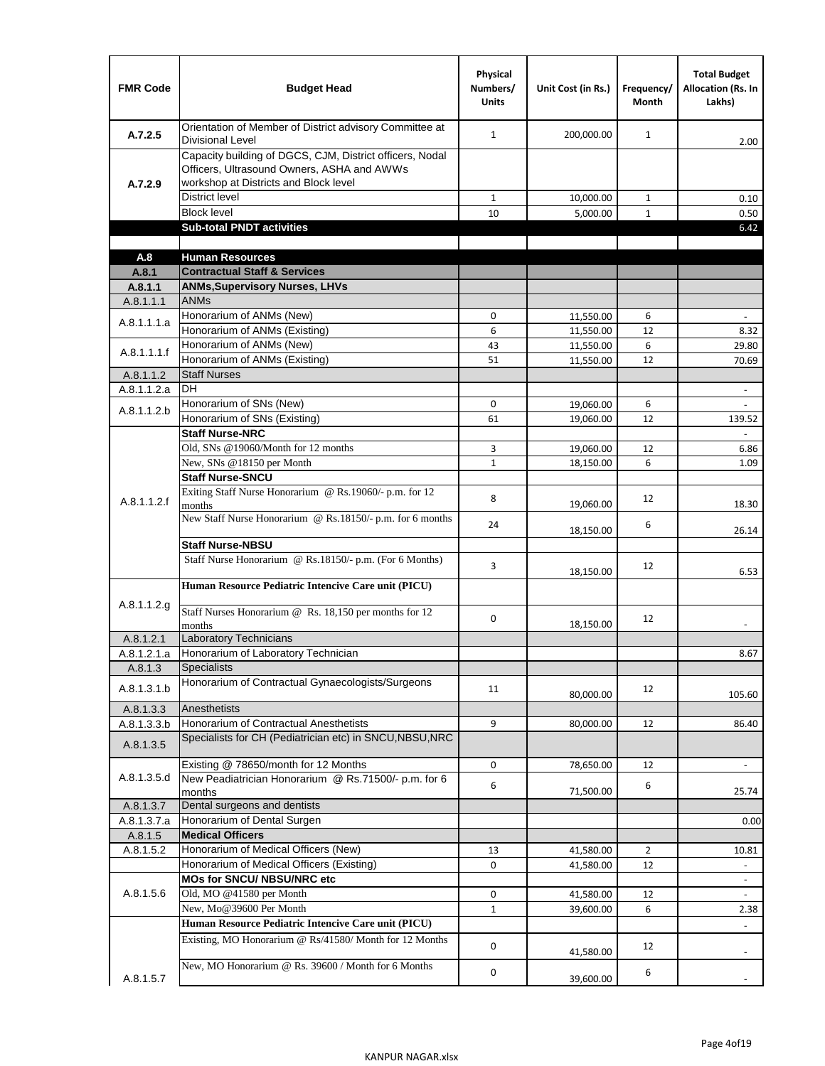| <b>FMR Code</b>          | <b>Budget Head</b>                                                                                                                              | Physical<br>Numbers/<br><b>Units</b> | Unit Cost (in Rs.)     | Frequency/<br>Month | <b>Total Budget</b><br><b>Allocation (Rs. In</b><br>Lakhs) |
|--------------------------|-------------------------------------------------------------------------------------------------------------------------------------------------|--------------------------------------|------------------------|---------------------|------------------------------------------------------------|
| A.7.2.5                  | Orientation of Member of District advisory Committee at<br><b>Divisional Level</b>                                                              | $\mathbf{1}$                         | 200,000.00             | $\mathbf{1}$        | 2.00                                                       |
| A.7.2.9                  | Capacity building of DGCS, CJM, District officers, Nodal<br>Officers, Ultrasound Owners, ASHA and AWWs<br>workshop at Districts and Block level |                                      |                        |                     |                                                            |
|                          | <b>District level</b>                                                                                                                           | $\mathbf{1}$                         | 10,000.00              | 1                   | 0.10                                                       |
|                          | <b>Block level</b>                                                                                                                              | 10                                   | 5,000.00               | $\mathbf{1}$        | 0.50                                                       |
|                          | <b>Sub-total PNDT activities</b>                                                                                                                |                                      |                        |                     | 6.42                                                       |
|                          |                                                                                                                                                 |                                      |                        |                     |                                                            |
| A.8                      | <b>Human Resources</b>                                                                                                                          |                                      |                        |                     |                                                            |
| A.8.1                    | <b>Contractual Staff &amp; Services</b>                                                                                                         |                                      |                        |                     |                                                            |
| A.8.1.1                  | <b>ANMs, Supervisory Nurses, LHVs</b><br><b>ANMs</b>                                                                                            |                                      |                        |                     |                                                            |
| A.8.1.1.1                | Honorarium of ANMs (New)                                                                                                                        | 0                                    |                        | 6                   | ä,                                                         |
| A.8.1.1.1.a              | Honorarium of ANMs (Existing)                                                                                                                   | 6                                    | 11,550.00<br>11,550.00 | 12                  | 8.32                                                       |
|                          | Honorarium of ANMs (New)                                                                                                                        | 43                                   | 11,550.00              | 6                   | 29.80                                                      |
| A.8.1.1.1.f              | Honorarium of ANMs (Existing)                                                                                                                   | 51                                   | 11,550.00              | 12                  | 70.69                                                      |
| A.8.1.1.2                | <b>Staff Nurses</b>                                                                                                                             |                                      |                        |                     |                                                            |
| A.8.1.1.2.a              | <b>DH</b>                                                                                                                                       |                                      |                        |                     | $\blacksquare$                                             |
|                          | Honorarium of SNs (New)                                                                                                                         | 0                                    | 19,060.00              | 6                   |                                                            |
| A.8.1.1.2.b              | Honorarium of SNs (Existing)                                                                                                                    | 61                                   | 19,060.00              | 12                  | 139.52                                                     |
|                          | <b>Staff Nurse-NRC</b>                                                                                                                          |                                      |                        |                     | $\overline{\phantom{a}}$                                   |
|                          | Old, SNs @19060/Month for 12 months                                                                                                             | 3                                    | 19,060.00              | 12                  | 6.86                                                       |
|                          | New, SNs @18150 per Month                                                                                                                       | $\mathbf{1}$                         | 18,150.00              | 6                   | 1.09                                                       |
|                          | <b>Staff Nurse-SNCU</b>                                                                                                                         |                                      |                        |                     |                                                            |
| A.8.1.1.2.f              | Exiting Staff Nurse Honorarium @ Rs.19060/- p.m. for 12<br>months                                                                               | 8                                    | 19,060.00              | 12                  | 18.30                                                      |
|                          | New Staff Nurse Honorarium @ Rs.18150/- p.m. for 6 months                                                                                       | 24                                   | 18,150.00              | 6                   | 26.14                                                      |
|                          | <b>Staff Nurse-NBSU</b>                                                                                                                         |                                      |                        |                     |                                                            |
|                          | Staff Nurse Honorarium @ Rs.18150/- p.m. (For 6 Months)                                                                                         | 3                                    | 18,150.00              | 12                  | 6.53                                                       |
|                          | Human Resource Pediatric Intencive Care unit (PICU)                                                                                             |                                      |                        |                     |                                                            |
| A.8.1.1.2.g              | Staff Nurses Honorarium @ Rs. 18,150 per months for 12<br>months                                                                                | 0                                    | 18,150.00              | 12                  |                                                            |
| A.8.1.2.1                | <b>Laboratory Technicians</b>                                                                                                                   |                                      |                        |                     |                                                            |
| A.8.1.2.1.a              | Honorarium of Laboratory Technician                                                                                                             |                                      |                        |                     | 8.67                                                       |
| A.8.1.3                  | <b>Specialists</b>                                                                                                                              |                                      |                        |                     |                                                            |
| A.8.1.3.1.b              | Honorarium of Contractual Gynaecologists/Surgeons                                                                                               | 11                                   | 80,000.00              | 12                  | 105.60                                                     |
| A.8.1.3.3                | Anesthetists                                                                                                                                    |                                      |                        |                     |                                                            |
| A.8.1.3.3.b<br>A.8.1.3.5 | Honorarium of Contractual Anesthetists<br>Specialists for CH (Pediatrician etc) in SNCU, NBSU, NRC                                              | 9                                    | 80,000.00              | 12                  | 86.40                                                      |
|                          | Existing @ 78650/month for 12 Months                                                                                                            | 0                                    | 78,650.00              | 12                  | $\blacksquare$                                             |
| A.8.1.3.5.d              | New Peadiatrician Honorarium @ Rs.71500/- p.m. for 6<br>months                                                                                  | 6                                    | 71,500.00              | 6                   | 25.74                                                      |
| A.8.1.3.7                | Dental surgeons and dentists                                                                                                                    |                                      |                        |                     |                                                            |
| A.8.1.3.7.a              | Honorarium of Dental Surgen                                                                                                                     |                                      |                        |                     | 0.00                                                       |
| A.8.1.5                  | <b>Medical Officers</b>                                                                                                                         |                                      |                        |                     |                                                            |
| A.8.1.5.2                | Honorarium of Medical Officers (New)                                                                                                            | 13                                   | 41,580.00              | $\overline{2}$      | 10.81                                                      |
|                          | Honorarium of Medical Officers (Existing)                                                                                                       | 0                                    | 41,580.00              | 12                  | $\frac{1}{2}$                                              |
|                          | MOs for SNCU/ NBSU/NRC etc                                                                                                                      |                                      |                        |                     |                                                            |
| A.8.1.5.6                | Old, MO @41580 per Month                                                                                                                        | 0                                    | 41,580.00              | 12                  | $\blacksquare$                                             |
|                          | New, Mo@39600 Per Month                                                                                                                         | $\mathbf{1}$                         | 39,600.00              | 6                   | 2.38                                                       |
|                          | Human Resource Pediatric Intencive Care unit (PICU)<br>Existing, MO Honorarium @ Rs/41580/ Month for 12 Months                                  |                                      |                        |                     |                                                            |
|                          | New, MO Honorarium @ Rs. 39600 / Month for 6 Months                                                                                             | $\mathbf 0$                          | 41,580.00              | 12                  |                                                            |
| A.8.1.5.7                |                                                                                                                                                 | 0                                    | 39,600.00              | 6                   |                                                            |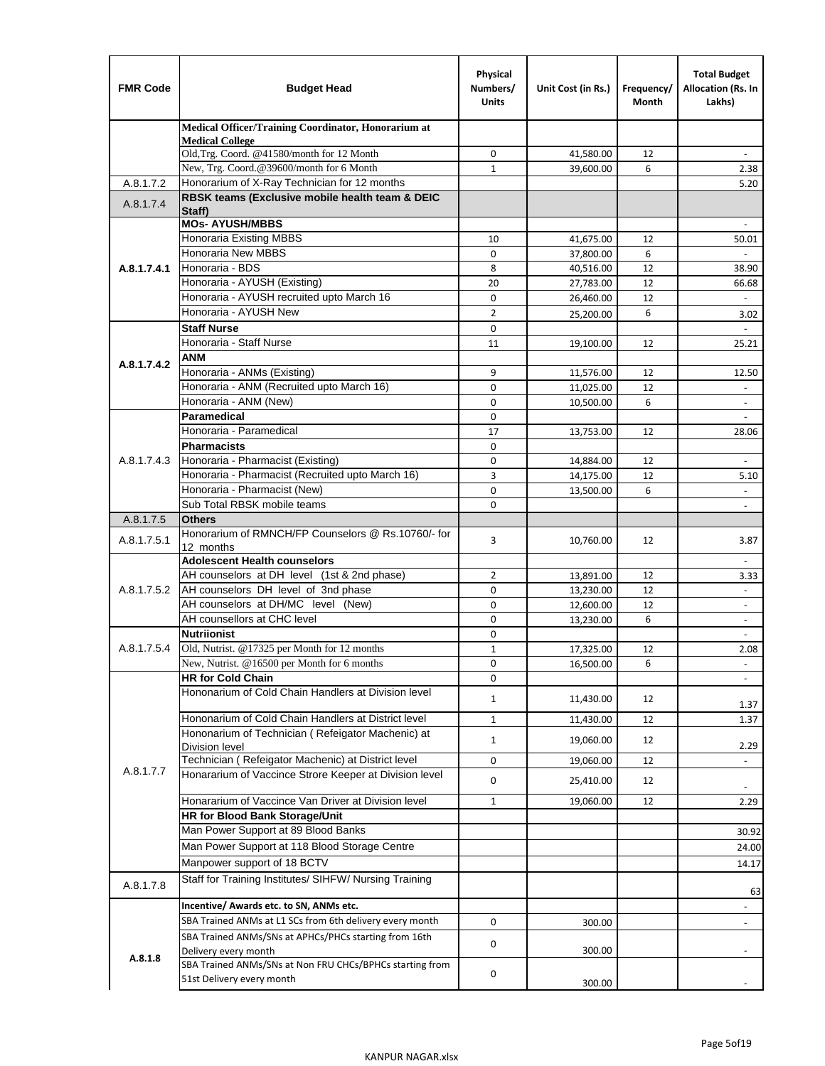| <b>FMR Code</b> | <b>Budget Head</b>                                                                    | Physical<br>Numbers/<br><b>Units</b> | Unit Cost (in Rs.)     | Frequency/<br>Month | <b>Total Budget</b><br>Allocation (Rs. In<br>Lakhs) |
|-----------------|---------------------------------------------------------------------------------------|--------------------------------------|------------------------|---------------------|-----------------------------------------------------|
|                 | Medical Officer/Training Coordinator, Honorarium at                                   |                                      |                        |                     |                                                     |
|                 | <b>Medical College</b><br>Old, Trg. Coord. @41580/month for 12 Month                  | 0                                    | 41,580.00              | 12                  |                                                     |
|                 | New, Trg. Coord.@39600/month for 6 Month                                              | $\mathbf{1}$                         | 39,600.00              | 6                   | 2.38                                                |
| A.8.1.7.2       | Honorarium of X-Ray Technician for 12 months                                          |                                      |                        |                     | 5.20                                                |
| A.8.1.7.4       | RBSK teams (Exclusive mobile health team & DEIC<br>Staff)                             |                                      |                        |                     |                                                     |
|                 | <b>MOs- AYUSH/MBBS</b>                                                                |                                      |                        |                     |                                                     |
|                 | <b>Honoraria Existing MBBS</b>                                                        | 10                                   | 41,675.00              | 12                  | 50.01                                               |
|                 | Honoraria New MBBS                                                                    | $\mathbf 0$                          | 37,800.00              | 6                   | $\blacksquare$                                      |
| A.8.1.7.4.1     | Honoraria - BDS<br>Honoraria - AYUSH (Existing)                                       | 8                                    | 40,516.00              | 12                  | 38.90                                               |
|                 | Honoraria - AYUSH recruited upto March 16                                             | 20<br>$\mathbf 0$                    | 27,783.00              | 12<br>12            | 66.68                                               |
|                 | Honoraria - AYUSH New                                                                 | $\overline{2}$                       | 26,460.00<br>25,200.00 | 6                   |                                                     |
|                 | <b>Staff Nurse</b>                                                                    | $\Omega$                             |                        |                     | 3.02                                                |
|                 | Honoraria - Staff Nurse                                                               | 11                                   | 19,100.00              | 12                  | 25.21                                               |
|                 | <b>ANM</b>                                                                            |                                      |                        |                     |                                                     |
| A.8.1.7.4.2     | Honoraria - ANMs (Existing)                                                           | 9                                    | 11,576.00              | 12                  | 12.50                                               |
|                 | Honoraria - ANM (Recruited upto March 16)                                             | 0                                    | 11,025.00              | 12                  | ÷,                                                  |
|                 | Honoraria - ANM (New)                                                                 | 0                                    | 10,500.00              | 6                   |                                                     |
|                 | Paramedical                                                                           | $\mathbf 0$                          |                        |                     | $\blacksquare$                                      |
|                 | Honoraria - Paramedical                                                               | 17                                   | 13,753.00              | 12                  | 28.06                                               |
|                 | <b>Pharmacists</b>                                                                    | $\mathbf 0$                          |                        |                     |                                                     |
| A.8.1.7.4.3     | Honoraria - Pharmacist (Existing)                                                     | $\mathbf 0$                          | 14,884.00              | 12                  |                                                     |
|                 | Honoraria - Pharmacist (Recruited upto March 16)                                      | 3                                    | 14,175.00              | 12                  | 5.10                                                |
|                 | Honoraria - Pharmacist (New)                                                          | $\mathbf 0$                          | 13,500.00              | 6                   | $\overline{a}$                                      |
|                 | Sub Total RBSK mobile teams                                                           | $\Omega$                             |                        |                     | $\overline{\phantom{a}}$                            |
| A.8.1.7.5       | <b>Others</b>                                                                         |                                      |                        |                     |                                                     |
| A.8.1.7.5.1     | Honorarium of RMNCH/FP Counselors @ Rs.10760/- for<br>12 months                       | 3                                    | 10,760.00              | 12                  | 3.87                                                |
|                 | <b>Adolescent Health counselors</b>                                                   |                                      |                        |                     | $\blacksquare$                                      |
|                 | AH counselors at DH level (1st & 2nd phase)                                           | 2                                    | 13,891.00              | 12                  | 3.33                                                |
| A.8.1.7.5.2     | AH counselors DH level of 3nd phase                                                   | $\mathbf 0$                          | 13,230.00              | 12                  | $\blacksquare$                                      |
|                 | AH counselors at DH/MC level (New)                                                    | 0                                    | 12,600.00              | 12                  | $\overline{\phantom{a}}$                            |
|                 | AH counsellors at CHC level                                                           | $\mathbf 0$                          | 13,230.00              | 6                   | $\blacksquare$                                      |
|                 | <b>Nutriionist</b>                                                                    | 0                                    |                        |                     | $\overline{\phantom{a}}$                            |
| A.8.1.7.5.4     | Old, Nutrist. @17325 per Month for 12 months                                          | $\mathbf{1}$                         | 17,325.00              | 12                  | 2.08                                                |
|                 | New, Nutrist. $@16500$ per Month for 6 months                                         | 0                                    | 16,500.00              | 6                   | $\overline{\phantom{a}}$                            |
|                 | <b>HR for Cold Chain</b>                                                              | 0                                    |                        |                     |                                                     |
|                 | Hononarium of Cold Chain Handlers at Division level                                   | 1                                    | 11,430.00              | 12                  | 1.37                                                |
|                 | Hononarium of Cold Chain Handlers at District level                                   | $\mathbf{1}$                         | 11,430.00              | 12                  | 1.37                                                |
|                 | Hononarium of Technician (Refeigator Machenic) at                                     |                                      |                        |                     |                                                     |
|                 | <b>Division level</b>                                                                 | $\mathbf{1}$                         | 19,060.00              | 12                  | 2.29                                                |
| A.8.1.7.7       | Technician (Refeigator Machenic) at District level                                    | 0                                    | 19,060.00              | 12                  | $\omega$                                            |
|                 | Honararium of Vaccince Strore Keeper at Division level                                | 0                                    | 25,410.00              | 12                  | $\overline{\phantom{a}}$                            |
|                 | Honararium of Vaccince Van Driver at Division level                                   | $\mathbf{1}$                         | 19,060.00              | 12                  | 2.29                                                |
|                 | <b>HR for Blood Bank Storage/Unit</b>                                                 |                                      |                        |                     |                                                     |
|                 | Man Power Support at 89 Blood Banks                                                   |                                      |                        |                     | 30.92                                               |
|                 | Man Power Support at 118 Blood Storage Centre                                         |                                      |                        |                     | 24.00                                               |
|                 | Manpower support of 18 BCTV                                                           |                                      |                        |                     | 14.17                                               |
| A.8.1.7.8       | Staff for Training Institutes/ SIHFW/ Nursing Training                                |                                      |                        |                     | 63                                                  |
|                 | Incentive/ Awards etc. to SN, ANMs etc.                                               |                                      |                        |                     |                                                     |
|                 | SBA Trained ANMs at L1 SCs from 6th delivery every month                              | 0                                    | 300.00                 |                     | $\blacksquare$                                      |
|                 | SBA Trained ANMs/SNs at APHCs/PHCs starting from 16th<br>Delivery every month         | 0                                    | 300.00                 |                     |                                                     |
| A.8.1.8         | SBA Trained ANMs/SNs at Non FRU CHCs/BPHCs starting from<br>51st Delivery every month | 0                                    |                        |                     |                                                     |
|                 |                                                                                       |                                      | 300.00                 |                     |                                                     |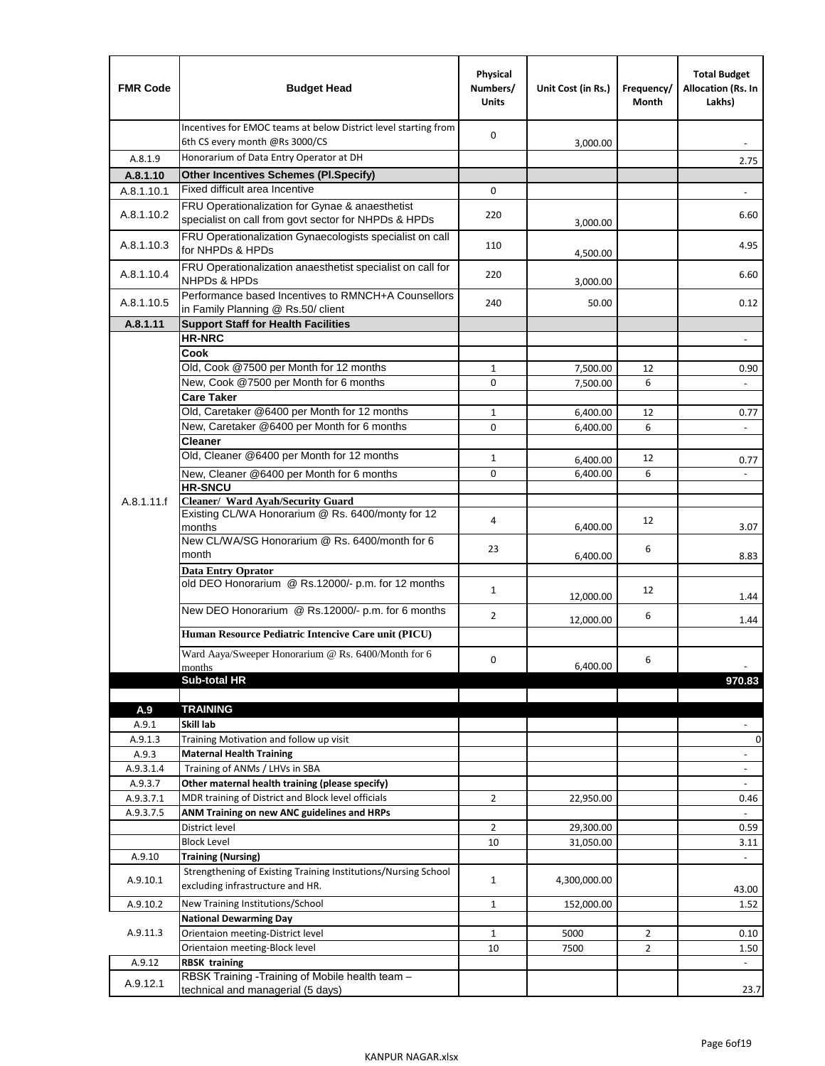| <b>FMR Code</b> | <b>Budget Head</b>                                                                                      | Physical<br>Numbers/<br><b>Units</b> | Unit Cost (in Rs.) | Frequency/<br>Month | <b>Total Budget</b><br>Allocation (Rs. In<br>Lakhs) |
|-----------------|---------------------------------------------------------------------------------------------------------|--------------------------------------|--------------------|---------------------|-----------------------------------------------------|
|                 | Incentives for EMOC teams at below District level starting from<br>6th CS every month @Rs 3000/CS       | 0                                    | 3.000.00           |                     |                                                     |
| A.8.1.9         | Honorarium of Data Entry Operator at DH                                                                 |                                      |                    |                     | 2.75                                                |
| A.8.1.10        | <b>Other Incentives Schemes (Pl.Specify)</b>                                                            |                                      |                    |                     |                                                     |
| A.8.1.10.1      | Fixed difficult area Incentive                                                                          | 0                                    |                    |                     |                                                     |
| A.8.1.10.2      | FRU Operationalization for Gynae & anaesthetist<br>specialist on call from govt sector for NHPDs & HPDs | 220                                  | 3,000.00           |                     | 6.60                                                |
| A.8.1.10.3      | FRU Operationalization Gynaecologists specialist on call<br>for NHPDs & HPDs                            | 110                                  | 4,500.00           |                     | 4.95                                                |
| A.8.1.10.4      | FRU Operationalization anaesthetist specialist on call for<br><b>NHPDs &amp; HPDs</b>                   | 220                                  | 3,000.00           |                     | 6.60                                                |
| A.8.1.10.5      | Performance based Incentives to RMNCH+A Counsellors<br>in Family Planning @ Rs.50/ client               | 240                                  | 50.00              |                     | 0.12                                                |
| A.8.1.11        | <b>Support Staff for Health Facilities</b>                                                              |                                      |                    |                     |                                                     |
|                 | <b>HR-NRC</b>                                                                                           |                                      |                    |                     | $\sim$                                              |
|                 | Cook<br>Old, Cook @7500 per Month for 12 months                                                         | 1                                    | 7,500.00           | 12                  | 0.90                                                |
|                 | New, Cook @7500 per Month for 6 months                                                                  | 0                                    | 7,500.00           | 6                   | $\omega$                                            |
|                 | <b>Care Taker</b>                                                                                       |                                      |                    |                     |                                                     |
|                 | Old, Caretaker @6400 per Month for 12 months                                                            | $\mathbf{1}$                         | 6,400.00           | 12                  | 0.77                                                |
|                 | New, Caretaker @6400 per Month for 6 months                                                             | 0                                    | 6,400.00           | 6                   |                                                     |
|                 | <b>Cleaner</b>                                                                                          |                                      |                    |                     |                                                     |
|                 | Old, Cleaner @6400 per Month for 12 months                                                              | $\mathbf{1}$                         | 6,400.00           | 12                  | 0.77                                                |
|                 | New, Cleaner @6400 per Month for 6 months                                                               | 0                                    | 6,400.00           | 6                   |                                                     |
|                 | <b>HR-SNCU</b>                                                                                          |                                      |                    |                     |                                                     |
| A.8.1.11.f      | Cleaner/ Ward Ayah/Security Guard<br>Existing CL/WA Honorarium @ Rs. 6400/monty for 12<br>months        | 4                                    | 6,400.00           | 12                  | 3.07                                                |
|                 | New CL/WA/SG Honorarium @ Rs. 6400/month for 6                                                          |                                      |                    |                     |                                                     |
|                 | month                                                                                                   | 23                                   | 6,400.00           | 6                   | 8.83                                                |
|                 | <b>Data Entry Oprator</b>                                                                               |                                      |                    |                     |                                                     |
|                 | old DEO Honorarium @ Rs.12000/- p.m. for 12 months                                                      | $\mathbf{1}$                         | 12,000.00          | 12                  | 1.44                                                |
|                 | New DEO Honorarium @ Rs.12000/- p.m. for 6 months                                                       | $\overline{2}$                       | 12,000.00          | 6                   | 1.44                                                |
|                 | Human Resource Pediatric Intencive Care unit (PICU)                                                     |                                      |                    |                     |                                                     |
|                 | Ward Aaya/Sweeper Honorarium @ Rs. 6400/Month for 6                                                     | 0                                    |                    | 6                   |                                                     |
|                 | months                                                                                                  |                                      | 6,400.00           |                     |                                                     |
|                 | Sub-total HR                                                                                            |                                      |                    |                     | 970.83                                              |
|                 | <b>TRAINING</b>                                                                                         |                                      |                    |                     |                                                     |
| A.9<br>A.9.1    | Skill lab                                                                                               |                                      |                    |                     |                                                     |
| A.9.1.3         | Training Motivation and follow up visit                                                                 |                                      |                    |                     | $\pmb{0}$                                           |
| A.9.3           | <b>Maternal Health Training</b>                                                                         |                                      |                    |                     | $\blacksquare$                                      |
| A.9.3.1.4       | Training of ANMs / LHVs in SBA                                                                          |                                      |                    |                     | $\overline{\phantom{a}}$                            |
| A.9.3.7         | Other maternal health training (please specify)                                                         |                                      |                    |                     |                                                     |
| A.9.3.7.1       | MDR training of District and Block level officials                                                      | $\overline{2}$                       | 22,950.00          |                     | 0.46                                                |
| A.9.3.7.5       | ANM Training on new ANC guidelines and HRPs                                                             |                                      |                    |                     |                                                     |
|                 | District level                                                                                          | $\overline{2}$                       | 29,300.00          |                     | 0.59                                                |
|                 | <b>Block Level</b>                                                                                      | 10                                   | 31,050.00          |                     | 3.11                                                |
| A.9.10          | <b>Training (Nursing)</b><br>Strengthening of Existing Training Institutions/Nursing School             |                                      |                    |                     |                                                     |
| A.9.10.1        | excluding infrastructure and HR.                                                                        | $\mathbf{1}$                         | 4,300,000.00       |                     | 43.00                                               |
| A.9.10.2        | New Training Institutions/School                                                                        | $\mathbf{1}$                         | 152,000.00         |                     | 1.52                                                |
|                 | <b>National Dewarming Day</b>                                                                           |                                      |                    |                     |                                                     |
| A.9.11.3        | Orientaion meeting-District level                                                                       | $\mathbf{1}$                         | 5000               | $\overline{2}$      | 0.10                                                |
|                 | Orientaion meeting-Block level                                                                          | 10                                   | 7500               | $\overline{2}$      | 1.50                                                |
| A.9.12          | <b>RBSK training</b>                                                                                    |                                      |                    |                     |                                                     |
| A.9.12.1        | RBSK Training -Training of Mobile health team -<br>technical and managerial (5 days)                    |                                      |                    |                     | 23.7                                                |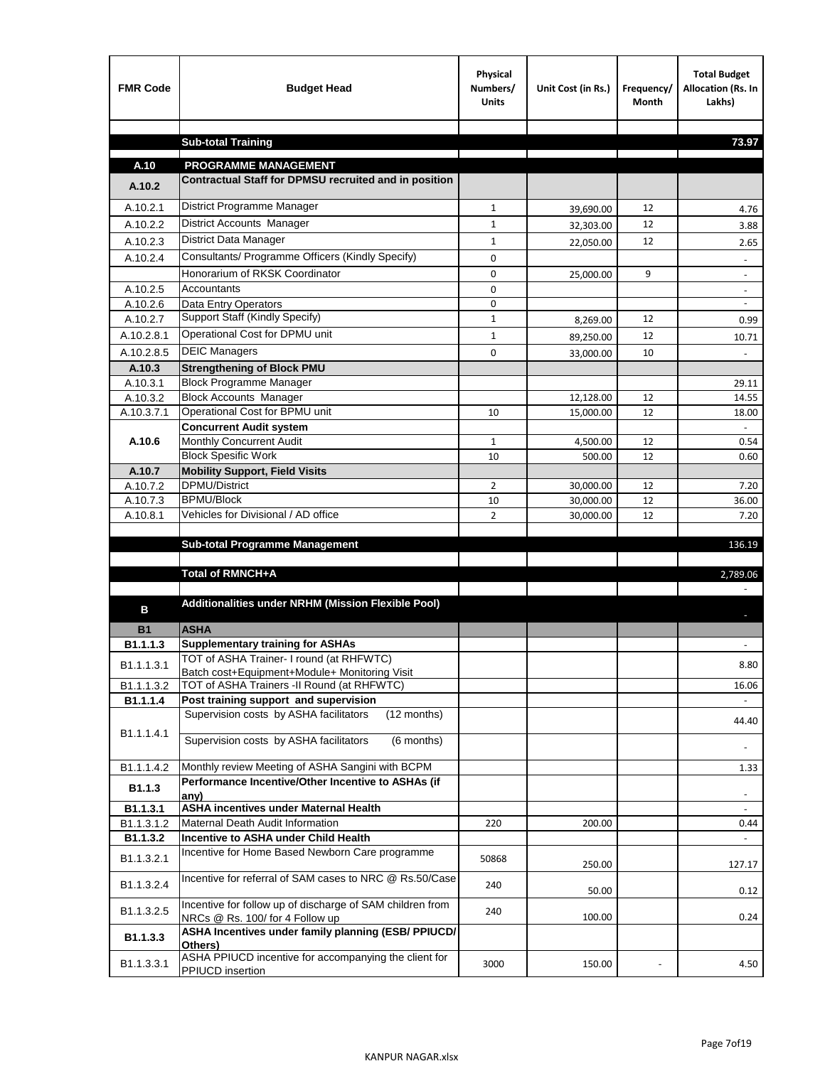| <b>FMR Code</b>    | <b>Budget Head</b>                                                                           | Physical<br>Numbers/<br><b>Units</b> | Unit Cost (in Rs.) | Frequency/<br><b>Month</b> | <b>Total Budget</b><br>Allocation (Rs. In<br>Lakhs) |
|--------------------|----------------------------------------------------------------------------------------------|--------------------------------------|--------------------|----------------------------|-----------------------------------------------------|
|                    |                                                                                              |                                      |                    |                            |                                                     |
|                    | <b>Sub-total Training</b>                                                                    |                                      |                    |                            | 73.97                                               |
| A.10               | <b>PROGRAMME MANAGEMENT</b>                                                                  |                                      |                    |                            |                                                     |
| A.10.2             | Contractual Staff for DPMSU recruited and in position                                        |                                      |                    |                            |                                                     |
| A.10.2.1           | District Programme Manager                                                                   | $\mathbf{1}$                         | 39,690.00          | 12                         | 4.76                                                |
| A.10.2.2           | District Accounts Manager                                                                    | 1                                    | 32,303.00          | 12                         | 3.88                                                |
| A.10.2.3           | District Data Manager                                                                        | $\mathbf{1}$                         |                    | 12                         |                                                     |
| A.10.2.4           | Consultants/ Programme Officers (Kindly Specify)                                             | $\mathbf 0$                          | 22,050.00          |                            | 2.65                                                |
|                    | Honorarium of RKSK Coordinator                                                               | 0                                    | 25,000.00          | 9                          | $\overline{\phantom{a}}$                            |
| A.10.2.5           | Accountants                                                                                  | 0                                    |                    |                            |                                                     |
| A.10.2.6           | Data Entry Operators                                                                         | 0                                    |                    |                            | $\overline{\phantom{a}}$                            |
| A.10.2.7           | Support Staff (Kindly Specify)                                                               | $\mathbf{1}$                         | 8,269.00           | 12                         | 0.99                                                |
| A.10.2.8.1         | Operational Cost for DPMU unit                                                               | $\mathbf{1}$                         | 89,250.00          | 12                         | 10.71                                               |
| A.10.2.8.5         | <b>DEIC Managers</b>                                                                         | $\mathbf 0$                          | 33,000.00          | 10                         |                                                     |
| A.10.3             | <b>Strengthening of Block PMU</b>                                                            |                                      |                    |                            |                                                     |
| A.10.3.1           | <b>Block Programme Manager</b>                                                               |                                      |                    |                            | 29.11                                               |
| A.10.3.2           | <b>Block Accounts Manager</b>                                                                |                                      | 12,128.00          | 12                         | 14.55                                               |
| A.10.3.7.1         | Operational Cost for BPMU unit                                                               | 10                                   | 15,000.00          | 12                         | 18.00                                               |
| A.10.6             | <b>Concurrent Audit system</b><br>Monthly Concurrent Audit                                   | $\mathbf{1}$                         |                    | 12                         | 0.54                                                |
|                    | <b>Block Spesific Work</b>                                                                   | 10                                   | 4,500.00<br>500.00 | 12                         | 0.60                                                |
| A.10.7             | <b>Mobility Support, Field Visits</b>                                                        |                                      |                    |                            |                                                     |
| A.10.7.2           | <b>DPMU/District</b>                                                                         | $\overline{2}$                       | 30,000.00          | 12                         | 7.20                                                |
| A.10.7.3           | <b>BPMU/Block</b>                                                                            | 10                                   | 30,000.00          | 12                         | 36.00                                               |
| A.10.8.1           | Vehicles for Divisional / AD office                                                          | $\overline{2}$                       | 30,000.00          | 12                         | 7.20                                                |
|                    |                                                                                              |                                      |                    |                            |                                                     |
|                    | <b>Sub-total Programme Management</b>                                                        |                                      |                    |                            | 136.19                                              |
|                    | Total of RMNCH+A                                                                             |                                      |                    |                            | 2,789.06                                            |
|                    |                                                                                              |                                      |                    |                            |                                                     |
| в                  | Additionalities under NRHM (Mission Flexible Pool)                                           |                                      |                    |                            |                                                     |
|                    |                                                                                              |                                      |                    |                            |                                                     |
| <b>B1</b>          | <b>ASHA</b>                                                                                  |                                      |                    |                            |                                                     |
| B1.1.1.3           | <b>Supplementary training for ASHAs</b><br>TOT of ASHA Trainer- I round (at RHFWTC)          |                                      |                    |                            |                                                     |
| B1.1.1.3.1         | Batch cost+Equipment+Module+ Monitoring Visit                                                |                                      |                    |                            | 8.80                                                |
| B1.1.1.3.2         | TOT of ASHA Trainers -II Round (at RHFWTC)                                                   |                                      |                    |                            | 16.06                                               |
| B1.1.1.4           | Post training support and supervision                                                        |                                      |                    |                            | $\omega$                                            |
|                    | Supervision costs by ASHA facilitators<br>(12 months)                                        |                                      |                    |                            | 44.40                                               |
| B1.1.1.4.1         | Supervision costs by ASHA facilitators<br>(6 months)                                         |                                      |                    |                            |                                                     |
|                    |                                                                                              |                                      |                    |                            |                                                     |
| B1.1.1.4.2         | Monthly review Meeting of ASHA Sangini with BCPM                                             |                                      |                    |                            | 1.33                                                |
| B <sub>1.1.3</sub> | Performance Incentive/Other Incentive to ASHAs (if                                           |                                      |                    |                            |                                                     |
| B1.1.3.1           | any)<br><b>ASHA incentives under Maternal Health</b>                                         |                                      |                    |                            |                                                     |
| B1.1.3.1.2         | Maternal Death Audit Information                                                             | 220                                  | 200.00             |                            | 0.44                                                |
| B1.1.3.2           | Incentive to ASHA under Child Health                                                         |                                      |                    |                            | $\omega$                                            |
| B1.1.3.2.1         | Incentive for Home Based Newborn Care programme                                              | 50868                                | 250.00             |                            | 127.17                                              |
| B1.1.3.2.4         | Incentive for referral of SAM cases to NRC @ Rs.50/Case                                      | 240                                  | 50.00              |                            | 0.12                                                |
| B1.1.3.2.5         | Incentive for follow up of discharge of SAM children from<br>NRCs @ Rs. 100/ for 4 Follow up | 240                                  | 100.00             |                            | 0.24                                                |
| B1.1.3.3           | ASHA Incentives under family planning (ESB/ PPIUCD/<br>Others)                               |                                      |                    |                            |                                                     |
| B1.1.3.3.1         | ASHA PPIUCD incentive for accompanying the client for<br>PPIUCD insertion                    | 3000                                 | 150.00             |                            | 4.50                                                |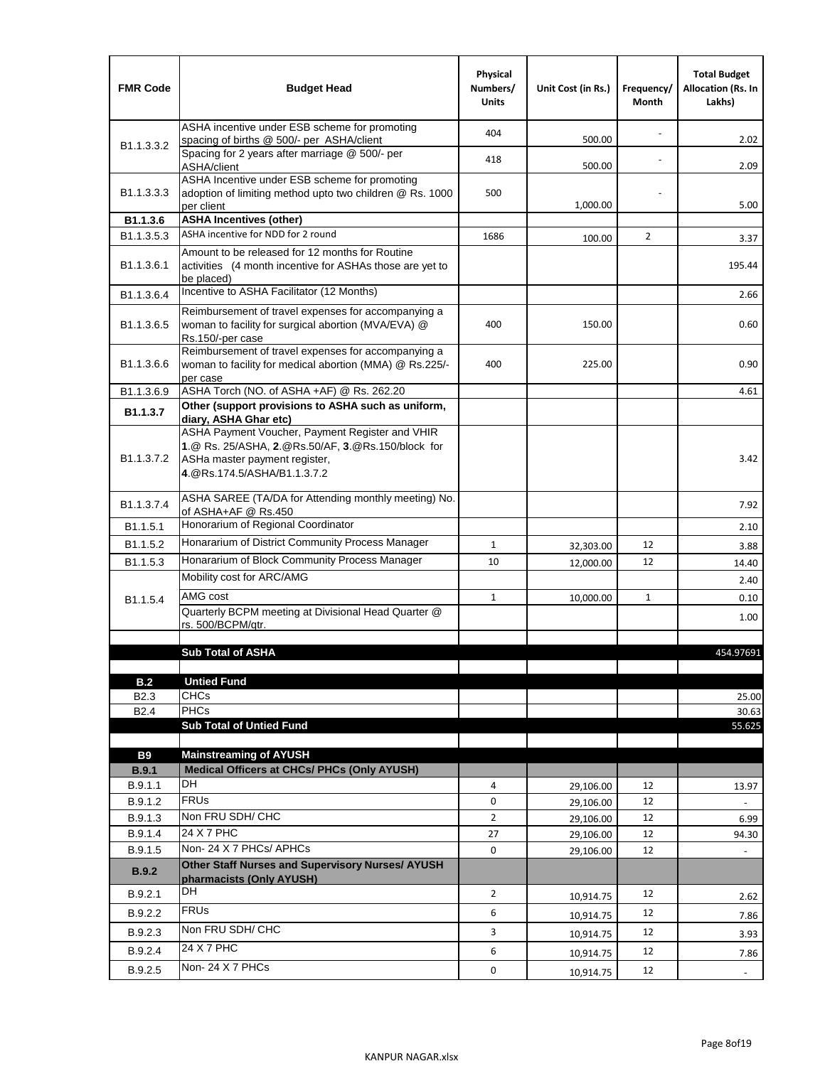| <b>FMR Code</b>            | <b>Budget Head</b>                                                                                                                                                    | Physical<br>Numbers/<br><b>Units</b> | Unit Cost (in Rs.) | Frequency/<br>Month | <b>Total Budget</b><br><b>Allocation (Rs. In</b><br>Lakhs) |
|----------------------------|-----------------------------------------------------------------------------------------------------------------------------------------------------------------------|--------------------------------------|--------------------|---------------------|------------------------------------------------------------|
|                            | ASHA incentive under ESB scheme for promoting<br>spacing of births @ 500/- per ASHA/client                                                                            | 404                                  | 500.00             |                     | 2.02                                                       |
| B <sub>1.1</sub> , 3, 3, 2 | Spacing for 2 years after marriage @ 500/- per<br>ASHA/client                                                                                                         | 418                                  | 500.00             |                     | 2.09                                                       |
| B1.1.3.3.3                 | ASHA Incentive under ESB scheme for promoting<br>adoption of limiting method upto two children @ Rs. 1000<br>per client                                               | 500                                  | 1,000.00           |                     | 5.00                                                       |
| B1.1.3.6                   | <b>ASHA Incentives (other)</b>                                                                                                                                        |                                      |                    |                     |                                                            |
| B <sub>1.1</sub> , 3, 5, 3 | ASHA incentive for NDD for 2 round                                                                                                                                    | 1686                                 | 100.00             | $\overline{2}$      | 3.37                                                       |
| B <sub>1.1</sub> .3.6.1    | Amount to be released for 12 months for Routine<br>activities (4 month incentive for ASHAs those are yet to<br>be placed)                                             |                                      |                    |                     | 195.44                                                     |
| B1.1.3.6.4                 | Incentive to ASHA Facilitator (12 Months)                                                                                                                             |                                      |                    |                     | 2.66                                                       |
| B <sub>1.1</sub> .3.6.5    | Reimbursement of travel expenses for accompanying a<br>woman to facility for surgical abortion (MVA/EVA) @<br>Rs.150/-per case                                        | 400                                  | 150.00             |                     | 0.60                                                       |
| B <sub>1.1</sub> .3.6.6    | Reimbursement of travel expenses for accompanying a<br>woman to facility for medical abortion (MMA) @ Rs.225/-<br>per case                                            | 400                                  | 225.00             |                     | 0.90                                                       |
| B1.1.3.6.9                 | ASHA Torch (NO. of ASHA +AF) @ Rs. 262.20                                                                                                                             |                                      |                    |                     | 4.61                                                       |
| B1.1.3.7                   | Other (support provisions to ASHA such as uniform,<br>diary, ASHA Ghar etc)                                                                                           |                                      |                    |                     |                                                            |
| B <sub>1.1</sub> .3.7.2    | ASHA Payment Voucher, Payment Register and VHIR<br>1.@ Rs. 25/ASHA, 2.@Rs.50/AF, 3.@Rs.150/block for<br>ASHa master payment register,<br>4. @Rs.174.5/ASHA/B1.1.3.7.2 |                                      |                    |                     | 3.42                                                       |
| B <sub>1.1</sub> , 3, 7, 4 | ASHA SAREE (TA/DA for Attending monthly meeting) No.<br>of ASHA+AF @ Rs.450                                                                                           |                                      |                    |                     | 7.92                                                       |
| B <sub>1.1</sub> .5.1      | Honorarium of Regional Coordinator                                                                                                                                    |                                      |                    |                     | 2.10                                                       |
| B <sub>1.1.5.2</sub>       | Honararium of District Community Process Manager                                                                                                                      | $\mathbf{1}$                         | 32,303.00          | 12                  | 3.88                                                       |
| B1.1.5.3                   | Honararium of Block Community Process Manager                                                                                                                         | 10                                   | 12,000.00          | 12                  | 14.40                                                      |
|                            | Mobility cost for ARC/AMG                                                                                                                                             |                                      |                    |                     | 2.40                                                       |
| B <sub>1.1.5.4</sub>       | AMG cost                                                                                                                                                              | $\mathbf{1}$                         | 10,000.00          | $\mathbf{1}$        | 0.10                                                       |
|                            | Quarterly BCPM meeting at Divisional Head Quarter @                                                                                                                   |                                      |                    |                     | 1.00                                                       |
|                            | rs. 500/BCPM/qtr.                                                                                                                                                     |                                      |                    |                     |                                                            |
|                            | <b>Sub Total of ASHA</b>                                                                                                                                              |                                      |                    |                     | 454.97691                                                  |
|                            |                                                                                                                                                                       |                                      |                    |                     |                                                            |
| B.2                        | <b>Untied Fund</b>                                                                                                                                                    |                                      |                    |                     |                                                            |
| B <sub>2.3</sub>           | <b>CHCs</b>                                                                                                                                                           |                                      |                    |                     | 25.00                                                      |
| B <sub>2.4</sub>           | <b>PHCs</b><br><b>Sub Total of Untied Fund</b>                                                                                                                        |                                      |                    |                     | 30.63<br>55.625                                            |
|                            |                                                                                                                                                                       |                                      |                    |                     |                                                            |
| <b>B9</b>                  | <b>Mainstreaming of AYUSH</b>                                                                                                                                         |                                      |                    |                     |                                                            |
| B.9.1                      | Medical Officers at CHCs/ PHCs (Only AYUSH)                                                                                                                           |                                      |                    |                     |                                                            |
| B.9.1.1                    | <b>DH</b>                                                                                                                                                             | 4                                    | 29,106.00          | 12                  | 13.97                                                      |
| B.9.1.2                    | <b>FRUs</b>                                                                                                                                                           | 0                                    | 29,106.00          | 12                  |                                                            |
| B.9.1.3                    | Non FRU SDH/ CHC<br>24 X 7 PHC                                                                                                                                        | $\overline{2}$                       | 29,106.00          | 12                  | 6.99                                                       |
| B.9.1.4                    | Non-24 X 7 PHCs/ APHCs                                                                                                                                                | 27                                   | 29,106.00          | 12                  | 94.30                                                      |
| B.9.1.5<br>B.9.2           | Other Staff Nurses and Supervisory Nurses/ AYUSH                                                                                                                      | 0                                    | 29,106.00          | 12                  |                                                            |
|                            | pharmacists (Only AYUSH)<br>DH                                                                                                                                        |                                      |                    |                     |                                                            |
| B.9.2.1                    | <b>FRUs</b>                                                                                                                                                           | $\overline{2}$                       | 10,914.75          | 12                  | 2.62                                                       |
| B.9.2.2                    | Non FRU SDH/ CHC                                                                                                                                                      | 6                                    | 10,914.75          | 12                  | 7.86                                                       |
| B.9.2.3                    |                                                                                                                                                                       | 3                                    | 10,914.75          | 12                  | 3.93                                                       |
| B.9.2.4                    | 24 X 7 PHC                                                                                                                                                            | 6                                    | 10,914.75          | 12                  | 7.86                                                       |
| B.9.2.5                    | Non-24 X 7 PHCs                                                                                                                                                       | 0                                    | 10,914.75          | 12                  | $\overline{\phantom{a}}$                                   |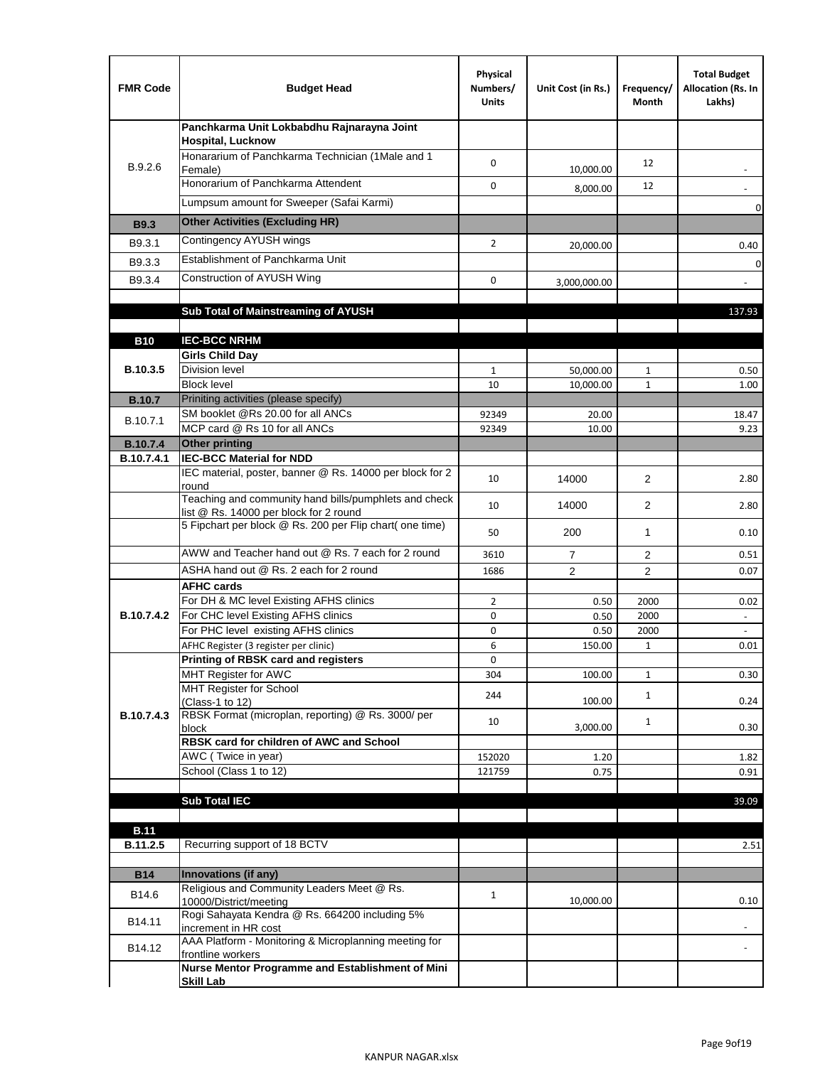| <b>FMR Code</b> | <b>Budget Head</b>                                                                              | Physical<br>Numbers/<br><b>Units</b> | Unit Cost (in Rs.) | Frequency/<br>Month | <b>Total Budget</b><br>Allocation (Rs. In<br>Lakhs) |
|-----------------|-------------------------------------------------------------------------------------------------|--------------------------------------|--------------------|---------------------|-----------------------------------------------------|
|                 | Panchkarma Unit Lokbabdhu Rajnarayna Joint<br><b>Hospital, Lucknow</b>                          |                                      |                    |                     |                                                     |
| B.9.2.6         | Honararium of Panchkarma Technician (1Male and 1<br>Female)                                     | 0                                    | 10,000.00          | 12                  |                                                     |
|                 | Honorarium of Panchkarma Attendent                                                              | $\mathbf 0$                          | 8,000.00           | 12                  |                                                     |
|                 | Lumpsum amount for Sweeper (Safai Karmi)                                                        |                                      |                    |                     | 0                                                   |
| <b>B9.3</b>     | <b>Other Activities (Excluding HR)</b>                                                          |                                      |                    |                     |                                                     |
| B9.3.1          | Contingency AYUSH wings                                                                         | $\overline{2}$                       | 20,000.00          |                     | 0.40                                                |
| B9.3.3          | Establishment of Panchkarma Unit                                                                |                                      |                    |                     | $\mathbf 0$                                         |
| B9.3.4          | Construction of AYUSH Wing                                                                      | 0                                    | 3,000,000.00       |                     |                                                     |
|                 |                                                                                                 |                                      |                    |                     |                                                     |
|                 | Sub Total of Mainstreaming of AYUSH                                                             |                                      |                    |                     | 137.93                                              |
|                 |                                                                                                 |                                      |                    |                     |                                                     |
| <b>B10</b>      | <b>IEC-BCC NRHM</b>                                                                             |                                      |                    |                     |                                                     |
| B.10.3.5        | <b>Girls Child Day</b><br><b>Division level</b>                                                 | $\mathbf{1}$                         | 50,000.00          | 1                   | 0.50                                                |
|                 | <b>Block level</b>                                                                              | 10                                   | 10,000.00          | $\mathbf{1}$        | 1.00                                                |
| <b>B.10.7</b>   | Priniting activities (please specify)                                                           |                                      |                    |                     |                                                     |
|                 | SM booklet @Rs 20.00 for all ANCs                                                               | 92349                                | 20.00              |                     | 18.47                                               |
| B.10.7.1        | MCP card @ Rs 10 for all ANCs                                                                   | 92349                                | 10.00              |                     | 9.23                                                |
| <b>B.10.7.4</b> | <b>Other printing</b>                                                                           |                                      |                    |                     |                                                     |
| B.10.7.4.1      | <b>IEC-BCC Material for NDD</b>                                                                 |                                      |                    |                     |                                                     |
|                 | IEC material, poster, banner @ Rs. 14000 per block for 2<br>round                               | 10                                   | 14000              | $\overline{2}$      | 2.80                                                |
|                 | Teaching and community hand bills/pumphlets and check<br>list @ Rs. 14000 per block for 2 round | 10                                   | 14000              | 2                   | 2.80                                                |
|                 | 5 Fipchart per block @ Rs. 200 per Flip chart( one time)                                        | 50                                   | 200                | 1                   | 0.10                                                |
|                 | AWW and Teacher hand out @ Rs. 7 each for 2 round                                               | 3610                                 | $\overline{7}$     | 2                   | 0.51                                                |
|                 | ASHA hand out @ Rs. 2 each for 2 round                                                          | 1686                                 | $\overline{2}$     | 2                   | 0.07                                                |
|                 | <b>AFHC cards</b>                                                                               |                                      |                    |                     |                                                     |
|                 | For DH & MC level Existing AFHS clinics                                                         | $\overline{2}$                       | 0.50               | 2000                | 0.02                                                |
| B.10.7.4.2      | For CHC level Existing AFHS clinics                                                             | 0                                    | 0.50               | 2000                | $\overline{\phantom{a}}$                            |
|                 | For PHC level existing AFHS clinics                                                             | 0                                    | 0.50               | 2000                | $\bar{\phantom{a}}$                                 |
|                 | AFHC Register (3 register per clinic)<br>Printing of RBSK card and registers                    | 6<br>0                               | 150.00             | $\mathbf{1}$        | 0.01                                                |
|                 | MHT Register for AWC                                                                            | 304                                  | 100.00             | $\mathbf{1}$        | 0.30                                                |
|                 | MHT Register for School                                                                         |                                      |                    |                     |                                                     |
|                 | (Class-1 to 12)                                                                                 | 244                                  | 100.00             | $\mathbf{1}$        | 0.24                                                |
| B.10.7.4.3      | RBSK Format (microplan, reporting) @ Rs. 3000/ per                                              | 10                                   |                    | $\mathbf{1}$        |                                                     |
|                 | block<br>RBSK card for children of AWC and School                                               |                                      | 3,000.00           |                     | 0.30                                                |
|                 | AWC (Twice in year)                                                                             | 152020                               | 1.20               |                     | 1.82                                                |
|                 | School (Class 1 to 12)                                                                          | 121759                               | 0.75               |                     | 0.91                                                |
|                 |                                                                                                 |                                      |                    |                     |                                                     |
|                 | <b>Sub Total IEC</b>                                                                            |                                      |                    |                     | 39.09                                               |
|                 |                                                                                                 |                                      |                    |                     |                                                     |
| <b>B.11</b>     |                                                                                                 |                                      |                    |                     |                                                     |
| B.11.2.5        | Recurring support of 18 BCTV                                                                    |                                      |                    |                     | 2.51                                                |
| <b>B14</b>      | Innovations (if any)                                                                            |                                      |                    |                     |                                                     |
| B14.6           | Religious and Community Leaders Meet @ Rs.<br>10000/District/meeting                            | $\mathbf{1}$                         | 10,000.00          |                     | 0.10                                                |
|                 | Rogi Sahayata Kendra @ Rs. 664200 including 5%                                                  |                                      |                    |                     |                                                     |
| B14.11          | increment in HR cost                                                                            |                                      |                    |                     |                                                     |
| B14.12          | AAA Platform - Monitoring & Microplanning meeting for<br>frontline workers                      |                                      |                    |                     |                                                     |
|                 | Nurse Mentor Programme and Establishment of Mini<br><b>Skill Lab</b>                            |                                      |                    |                     |                                                     |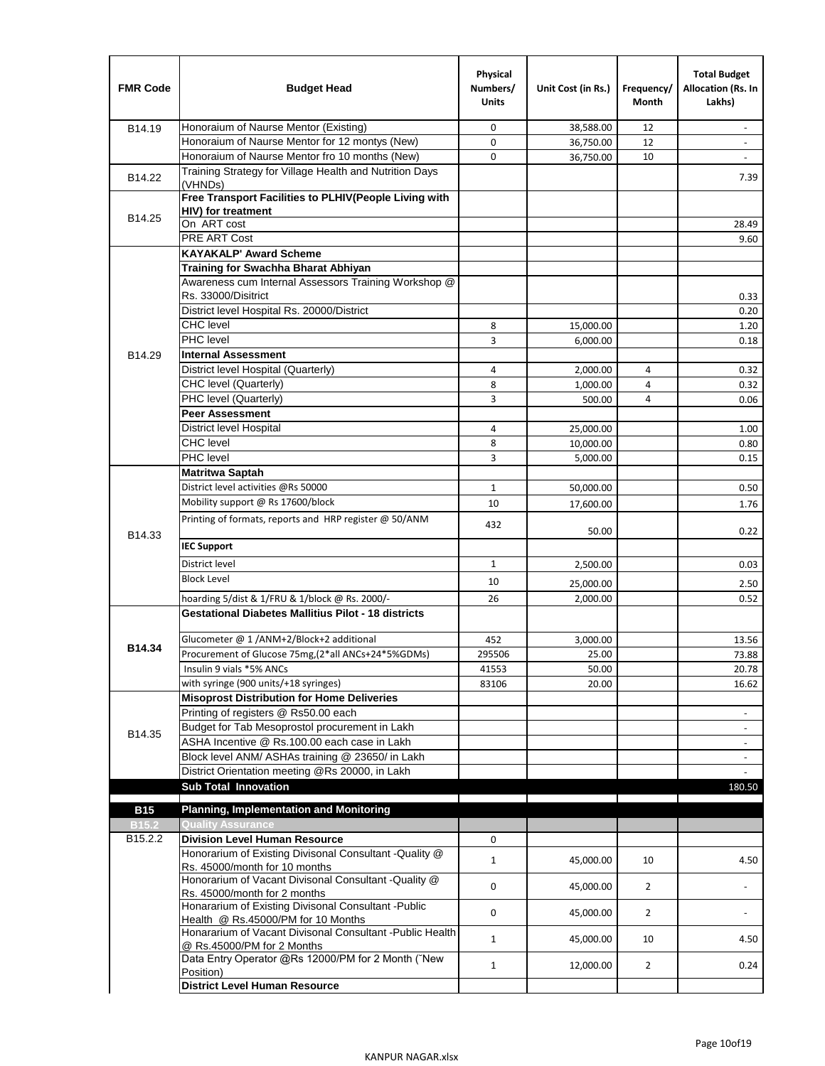| <b>FMR Code</b>   | <b>Budget Head</b>                                                                                           | Physical<br>Numbers/<br><b>Units</b> | Unit Cost (in Rs.) | Frequency/<br><b>Month</b> | <b>Total Budget</b><br>Allocation (Rs. In<br>Lakhs) |
|-------------------|--------------------------------------------------------------------------------------------------------------|--------------------------------------|--------------------|----------------------------|-----------------------------------------------------|
| B14.19            | Honoraium of Naurse Mentor (Existing)                                                                        | 0                                    | 38,588.00          | 12                         | $\sim$                                              |
|                   | Honoraium of Naurse Mentor for 12 montys (New)                                                               | 0                                    | 36,750.00          | 12                         |                                                     |
|                   | Honoraium of Naurse Mentor fro 10 months (New)                                                               | 0                                    | 36,750.00          | 10                         | $\sim$                                              |
| B14.22            | Training Strategy for Village Health and Nutrition Days<br>(VHNDs)                                           |                                      |                    |                            | 7.39                                                |
|                   | Free Transport Facilities to PLHIV(People Living with                                                        |                                      |                    |                            |                                                     |
| B14.25            | <b>HIV)</b> for treatment                                                                                    |                                      |                    |                            |                                                     |
|                   | On ART cost                                                                                                  |                                      |                    |                            | 28.49                                               |
|                   | PRE ART Cost                                                                                                 |                                      |                    |                            | 9.60                                                |
|                   | <b>KAYAKALP' Award Scheme</b>                                                                                |                                      |                    |                            |                                                     |
|                   | Training for Swachha Bharat Abhiyan                                                                          |                                      |                    |                            |                                                     |
|                   | Awareness cum Internal Assessors Training Workshop @<br>Rs. 33000/Disitrict                                  |                                      |                    |                            | 0.33                                                |
|                   | District level Hospital Rs. 20000/District                                                                   |                                      |                    |                            | 0.20                                                |
|                   | <b>CHC</b> level                                                                                             | 8                                    | 15,000.00          |                            | 1.20                                                |
|                   | <b>PHC</b> level                                                                                             | 3                                    | 6,000.00           |                            | 0.18                                                |
| B14.29            | <b>Internal Assessment</b>                                                                                   |                                      |                    |                            |                                                     |
|                   | District level Hospital (Quarterly)                                                                          | 4                                    | 2,000.00           | 4                          | 0.32                                                |
|                   | CHC level (Quarterly)                                                                                        | 8                                    | 1,000.00           | 4                          | 0.32                                                |
|                   | PHC level (Quarterly)                                                                                        | 3                                    | 500.00             | 4                          | 0.06                                                |
|                   | <b>Peer Assessment</b>                                                                                       |                                      |                    |                            |                                                     |
|                   | <b>District level Hospital</b>                                                                               | 4                                    | 25.000.00          |                            | 1.00                                                |
|                   | <b>CHC</b> level                                                                                             | 8                                    | 10,000.00          |                            | 0.80                                                |
|                   | PHC level                                                                                                    | 3                                    | 5,000.00           |                            | 0.15                                                |
|                   | Matritwa Saptah                                                                                              |                                      |                    |                            |                                                     |
|                   | District level activities @Rs 50000                                                                          | $\mathbf{1}$                         | 50,000.00          |                            | 0.50                                                |
|                   | Mobility support @ Rs 17600/block                                                                            | 10                                   | 17,600.00          |                            | 1.76                                                |
|                   | Printing of formats, reports and HRP register @ 50/ANM                                                       |                                      |                    |                            |                                                     |
| B14.33            |                                                                                                              | 432                                  | 50.00              |                            | 0.22                                                |
|                   | <b>IEC Support</b>                                                                                           |                                      |                    |                            |                                                     |
|                   | District level                                                                                               | $\mathbf{1}$                         | 2,500.00           |                            | 0.03                                                |
|                   | <b>Block Level</b>                                                                                           | 10                                   |                    |                            |                                                     |
|                   |                                                                                                              |                                      | 25,000.00          |                            | 2.50                                                |
|                   | hoarding 5/dist & 1/FRU & 1/block @ Rs. 2000/-<br><b>Gestational Diabetes Mallitius Pilot - 18 districts</b> | 26                                   | 2,000.00           |                            | 0.52                                                |
|                   |                                                                                                              |                                      |                    |                            |                                                     |
| B14.34            | Glucometer @ 1 /ANM+2/Block+2 additional                                                                     | 452                                  | 3,000.00           |                            | 13.56                                               |
|                   | Procurement of Glucose 75mg, (2*all ANCs+24*5%GDMs)                                                          | 295506                               | 25.00              |                            | 73.88                                               |
|                   | Insulin 9 vials *5% ANCs                                                                                     | 41553                                | 50.00              |                            | 20.78                                               |
|                   | with syringe (900 units/+18 syringes)                                                                        | 83106                                | 20.00              |                            | 16.62                                               |
|                   | <b>Misoprost Distribution for Home Deliveries</b><br>Printing of registers @ Rs50.00 each                    |                                      |                    |                            |                                                     |
|                   |                                                                                                              |                                      |                    |                            | $\overline{\phantom{a}}$                            |
| B14.35            | Budget for Tab Mesoprostol procurement in Lakh<br>ASHA Incentive @ Rs.100.00 each case in Lakh               |                                      |                    |                            |                                                     |
|                   | Block level ANM/ ASHAs training @ 23650/ in Lakh                                                             |                                      |                    |                            | $\overline{\phantom{a}}$                            |
|                   | District Orientation meeting @Rs 20000, in Lakh                                                              |                                      |                    |                            | $\overline{\phantom{a}}$                            |
|                   | <b>Sub Total Innovation</b>                                                                                  |                                      |                    |                            | 180.50                                              |
| <b>B15</b>        | <b>Planning, Implementation and Monitoring</b>                                                               |                                      |                    |                            |                                                     |
| B <sub>15.2</sub> | <b>Quality Assurance</b>                                                                                     |                                      |                    |                            |                                                     |
| B15.2.2           | <b>Division Level Human Resource</b>                                                                         | 0                                    |                    |                            |                                                     |
|                   | Honorarium of Existing Divisonal Consultant -Quality @                                                       |                                      |                    |                            |                                                     |
|                   | Rs. 45000/month for 10 months                                                                                | $\mathbf{1}$                         | 45,000.00          | 10                         | 4.50                                                |
|                   | Honorarium of Vacant Divisonal Consultant -Quality @                                                         | 0                                    | 45,000.00          | $\overline{2}$             |                                                     |
|                   | Rs. 45000/month for 2 months                                                                                 |                                      |                    |                            |                                                     |
|                   | Honararium of Existing Divisonal Consultant - Public                                                         | 0                                    | 45,000.00          | $\overline{2}$             |                                                     |
|                   | Health @ Rs.45000/PM for 10 Months<br>Honararium of Vacant Divisonal Consultant - Public Health              |                                      |                    |                            |                                                     |
|                   | @ Rs.45000/PM for 2 Months                                                                                   | $\mathbf{1}$                         | 45,000.00          | 10                         | 4.50                                                |
|                   | Data Entry Operator @Rs 12000/PM for 2 Month ("New                                                           |                                      |                    |                            |                                                     |
|                   | Position)                                                                                                    | $\mathbf{1}$                         | 12,000.00          | $\overline{2}$             | 0.24                                                |
|                   | <b>District Level Human Resource</b>                                                                         |                                      |                    |                            |                                                     |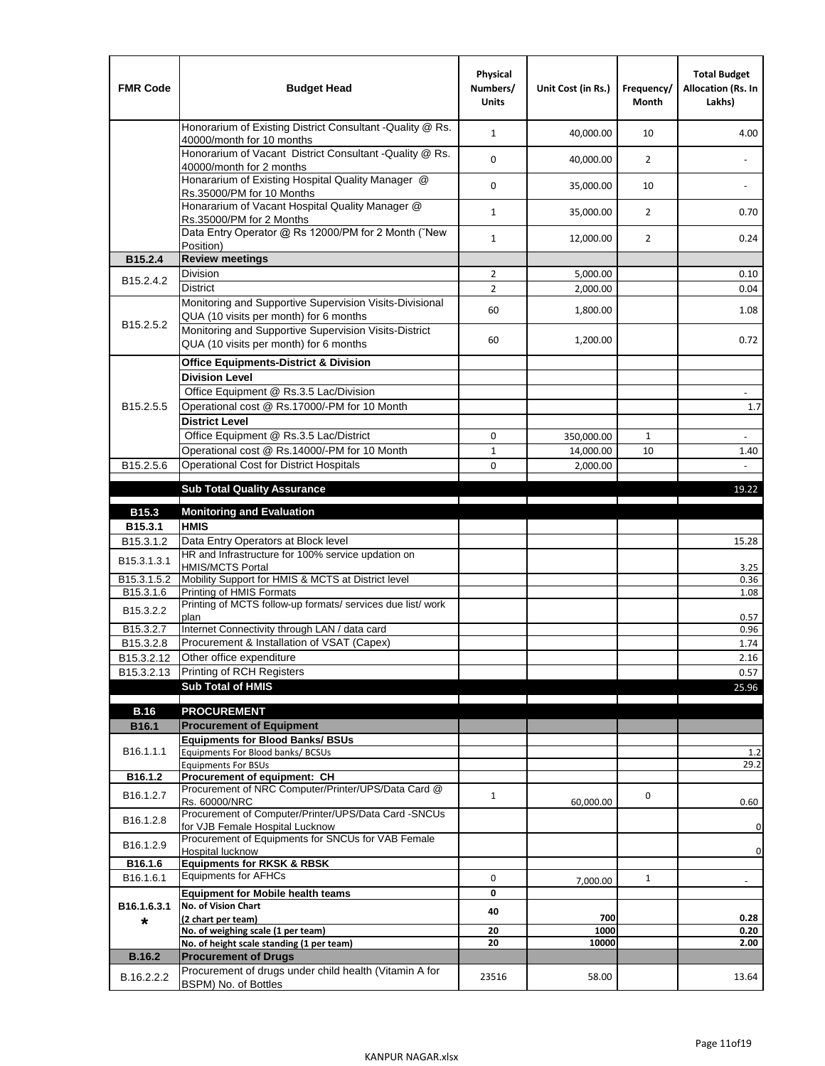| <b>FMR Code</b>        | <b>Budget Head</b>                                                                                | Physical<br>Numbers/<br><b>Units</b> | Unit Cost (in Rs.) | Frequency/<br>Month | <b>Total Budget</b><br>Allocation (Rs. In<br>Lakhs) |
|------------------------|---------------------------------------------------------------------------------------------------|--------------------------------------|--------------------|---------------------|-----------------------------------------------------|
|                        | Honorarium of Existing District Consultant - Quality @ Rs.<br>40000/month for 10 months           | $\mathbf{1}$                         | 40,000.00          | 10                  | 4.00                                                |
|                        | Honorarium of Vacant District Consultant - Quality @ Rs.<br>40000/month for 2 months              | 0                                    | 40,000.00          | $\overline{2}$      |                                                     |
|                        | Honararium of Existing Hospital Quality Manager @<br>Rs.35000/PM for 10 Months                    | 0                                    | 35,000.00          | 10                  |                                                     |
|                        | Honararium of Vacant Hospital Quality Manager @<br>Rs.35000/PM for 2 Months                       | $\mathbf{1}$                         | 35,000.00          | $\overline{2}$      | 0.70                                                |
|                        | Data Entry Operator @ Rs 12000/PM for 2 Month ("New<br>Position)                                  | $\mathbf{1}$                         | 12,000.00          | $\overline{2}$      | 0.24                                                |
| B15.2.4                | <b>Review meetings</b>                                                                            |                                      |                    |                     |                                                     |
| B <sub>15.2</sub> .4.2 | Division                                                                                          | $\overline{2}$                       | 5,000.00           |                     | 0.10                                                |
|                        | <b>District</b>                                                                                   | $\overline{2}$                       | 2,000.00           |                     | 0.04                                                |
|                        | Monitoring and Supportive Supervision Visits-Divisional<br>QUA (10 visits per month) for 6 months | 60                                   | 1,800.00           |                     | 1.08                                                |
| B15.2.5.2              | Monitoring and Supportive Supervision Visits-District<br>QUA (10 visits per month) for 6 months   | 60                                   | 1,200.00           |                     | 0.72                                                |
|                        | <b>Office Equipments-District &amp; Division</b>                                                  |                                      |                    |                     |                                                     |
|                        | <b>Division Level</b>                                                                             |                                      |                    |                     |                                                     |
|                        | Office Equipment @ Rs.3.5 Lac/Division                                                            |                                      |                    |                     | $\overline{\phantom{a}}$                            |
| B15.2.5.5              | Operational cost @ Rs.17000/-PM for 10 Month                                                      |                                      |                    |                     | $1.7\,$                                             |
|                        | <b>District Level</b>                                                                             |                                      |                    |                     |                                                     |
|                        | Office Equipment @ Rs.3.5 Lac/District                                                            | 0                                    | 350,000.00         | 1                   | $\sim$                                              |
|                        | Operational cost @ Rs.14000/-PM for 10 Month                                                      | $\mathbf{1}$                         | 14,000.00          | 10                  | 1.40                                                |
| B15.2.5.6              | <b>Operational Cost for District Hospitals</b>                                                    | 0                                    | 2,000.00           |                     | $\mathbb{R}^{\mathbb{Z}}$                           |
|                        | <b>Sub Total Quality Assurance</b>                                                                |                                      |                    |                     | 19.22                                               |
|                        |                                                                                                   |                                      |                    |                     |                                                     |
| B15.3<br>B15.3.1       | <b>Monitoring and Evaluation</b><br><b>HMIS</b>                                                   |                                      |                    |                     |                                                     |
| B15.3.1.2              | Data Entry Operators at Block level                                                               |                                      |                    |                     | 15.28                                               |
| B15.3.1.3.1            | HR and Infrastructure for 100% service updation on<br><b>HMIS/MCTS Portal</b>                     |                                      |                    |                     | 3.25                                                |
| B15.3.1.5.2            | Mobility Support for HMIS & MCTS at District level                                                |                                      |                    |                     | 0.36                                                |
| B15.3.1.6              | Printing of HMIS Formats                                                                          |                                      |                    |                     | 1.08                                                |
| B15.3.2.2              | Printing of MCTS follow-up formats/ services due list/ work<br>plan                               |                                      |                    |                     | 0.57                                                |
| B15.3.2.7              | Internet Connectivity through LAN / data card                                                     |                                      |                    |                     | 0.96                                                |
| B15.3.2.8              | Procurement & Installation of VSAT (Capex)                                                        |                                      |                    |                     | 1.74                                                |
| B15.3.2.12             | Other office expenditure                                                                          |                                      |                    |                     | 2.16                                                |
| B15.3.2.13             | Printing of RCH Registers                                                                         |                                      |                    |                     | 0.57                                                |
|                        | <b>Sub Total of HMIS</b>                                                                          |                                      |                    |                     | 25.96                                               |
| <b>B.16</b>            | <b>PROCUREMENT</b>                                                                                |                                      |                    |                     |                                                     |
| B16.1                  | <b>Procurement of Equipment</b>                                                                   |                                      |                    |                     |                                                     |
|                        | <b>Equipments for Blood Banks/ BSUs</b>                                                           |                                      |                    |                     |                                                     |
| B16.1.1.1              | Equipments For Blood banks/ BCSUs                                                                 |                                      |                    |                     | 1.2                                                 |
|                        | <b>Equipments For BSUs</b>                                                                        |                                      |                    |                     | 29.2                                                |
| B16.1.2                | Procurement of equipment: CH<br>Procurement of NRC Computer/Printer/UPS/Data Card @               |                                      |                    |                     |                                                     |
| B16.1.2.7              | Rs. 60000/NRC                                                                                     | $\mathbf{1}$                         | 60,000.00          | 0                   | 0.60                                                |
| B16.1.2.8              | Procurement of Computer/Printer/UPS/Data Card -SNCUs                                              |                                      |                    |                     |                                                     |
|                        | for VJB Female Hospital Lucknow<br>Procurement of Equipments for SNCUs for VAB Female             |                                      |                    |                     | $\pmb{0}$                                           |
| B16.1.2.9              | Hospital lucknow                                                                                  |                                      |                    |                     | $\pmb{0}$                                           |
| B16.1.6                | <b>Equipments for RKSK &amp; RBSK</b>                                                             |                                      |                    |                     |                                                     |
| B16.1.6.1              | <b>Equipments for AFHCs</b>                                                                       | 0                                    | 7,000.00           | $\mathbf{1}$        |                                                     |
|                        | <b>Equipment for Mobile health teams</b>                                                          | 0                                    |                    |                     |                                                     |
| B16.1.6.3.1            | No. of Vision Chart                                                                               | 40                                   | 700                |                     | 0.28                                                |
| *                      | (2 chart per team)<br>No. of weighing scale (1 per team)                                          | 20                                   | 1000               |                     | 0.20                                                |
|                        | No. of height scale standing (1 per team)                                                         | 20                                   | 10000              |                     | 2.00                                                |
| <b>B.16.2</b>          | <b>Procurement of Drugs</b>                                                                       |                                      |                    |                     |                                                     |
| B.16.2.2.2             | Procurement of drugs under child health (Vitamin A for                                            | 23516                                | 58.00              |                     | 13.64                                               |
|                        | BSPM) No. of Bottles                                                                              |                                      |                    |                     |                                                     |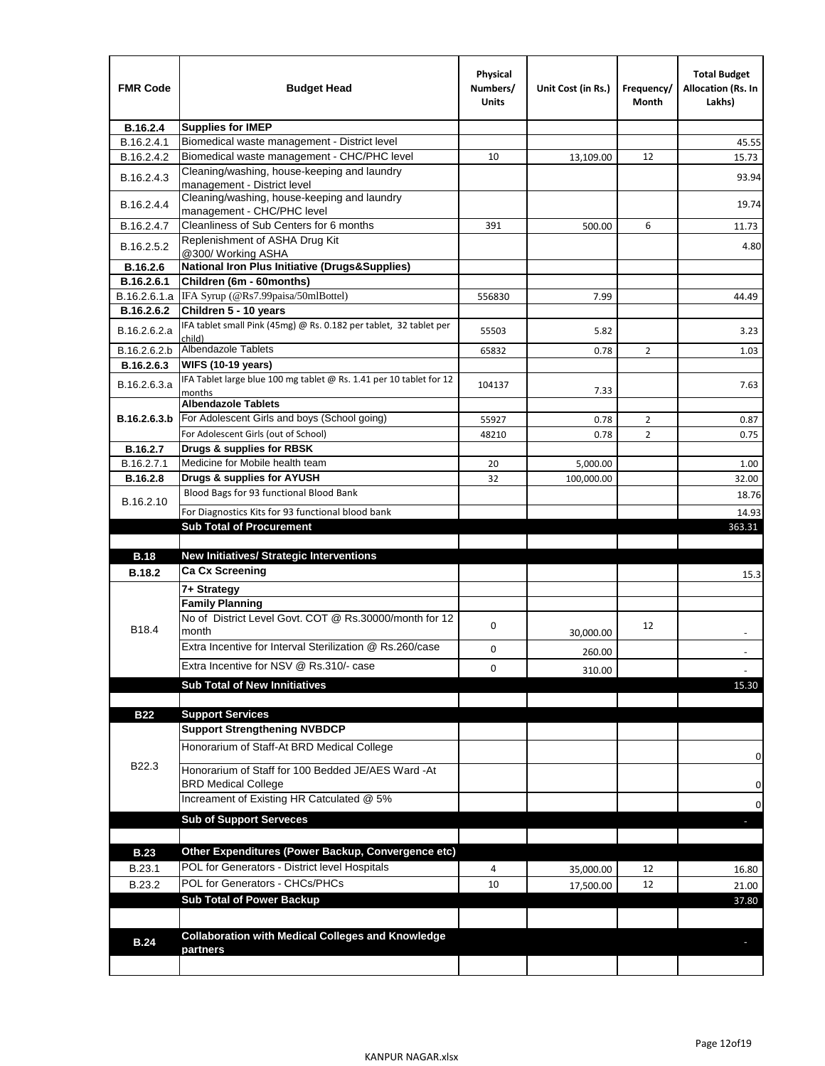| <b>Supplies for IMEP</b><br>B.16.2.4<br>Biomedical waste management - District level<br>B.16.2.4.1<br>45.55<br>Biomedical waste management - CHC/PHC level<br>B.16.2.4.2<br>15.73<br>10<br>13,109.00<br>12<br>Cleaning/washing, house-keeping and laundry<br>B.16.2.4.3<br>93.94<br>management - District level<br>Cleaning/washing, house-keeping and laundry<br>B.16.2.4.4<br>19.74<br>management - CHC/PHC level<br>Cleanliness of Sub Centers for 6 months<br>B.16.2.4.7<br>391<br>500.00<br>6<br>11.73<br>Replenishment of ASHA Drug Kit<br>B.16.2.5.2<br>4.80<br>@300/ Working ASHA<br><b>National Iron Plus Initiative (Drugs&amp;Supplies)</b><br>B.16.2.6<br>B.16.2.6.1<br>Children (6m - 60months)<br>IFA Syrup (@Rs7.99paisa/50mlBottel)<br>B.16.2.6.1.a<br>556830<br>44.49<br>7.99<br>Children 5 - 10 years<br>B.16.2.6.2<br>IFA tablet small Pink (45mg) @ Rs. 0.182 per tablet, 32 tablet per<br>B.16.2.6.2.a<br>5.82<br>3.23<br>55503<br>child)<br>Albendazole Tablets<br>B.16.2.6.2.b<br>65832<br>0.78<br>2<br>1.03<br><b>WIFS (10-19 years)</b><br>B.16.2.6.3<br>IFA Tablet large blue 100 mg tablet @ Rs. 1.41 per 10 tablet for 12<br>B.16.2.6.3.a<br>104137<br>7.63<br>7.33<br>months<br><b>Albendazole Tablets</b><br>For Adolescent Girls and boys (School going)<br>B.16.2.6.3.b<br>55927<br>$\overline{2}$<br>0.78<br>0.87<br>For Adolescent Girls (out of School)<br>$\overline{2}$<br>48210<br>0.78<br>0.75<br>Drugs & supplies for RBSK<br>B.16.2.7<br>Medicine for Mobile health team<br>B.16.2.7.1<br>20<br>5,000.00<br>1.00<br>Drugs & supplies for AYUSH<br><b>B.16.2.8</b><br>32<br>100,000.00<br>32.00<br>Blood Bags for 93 functional Blood Bank<br>18.76<br>B.16.2.10<br>For Diagnostics Kits for 93 functional blood bank<br>14.93<br><b>Sub Total of Procurement</b><br>363.31<br><b>New Initiatives/ Strategic Interventions</b><br><b>B.18</b><br><b>Ca Cx Screening</b><br><b>B.18.2</b><br>15.3<br>7+ Strategy<br><b>Family Planning</b><br>No of District Level Govt. COT @ Rs.30000/month for 12<br>0<br>12<br>B18.4<br>month<br>30,000.00<br>Extra Incentive for Interval Sterilization @ Rs.260/case<br>0<br>260.00<br>Extra Incentive for NSV @ Rs.310/- case<br>0<br>310.00<br><b>Sub Total of New Innitiatives</b><br>15.30<br><b>B22</b><br><b>Support Services</b><br><b>Support Strengthening NVBDCP</b><br>Honorarium of Staff-At BRD Medical College<br>0<br>B22.3<br>Honorarium of Staff for 100 Bedded JE/AES Ward -At<br><b>BRD Medical College</b><br>0<br>Increament of Existing HR Catculated @ 5%<br>0<br><b>Sub of Support Serveces</b><br>Other Expenditures (Power Backup, Convergence etc)<br><b>B.23</b><br>POL for Generators - District level Hospitals<br>B.23.1<br>4<br>12<br>35,000.00<br>16.80<br>POL for Generators - CHCs/PHCs<br>B.23.2<br>10<br>12<br>17,500.00<br>21.00<br><b>Sub Total of Power Backup</b><br>37.80<br><b>Collaboration with Medical Colleges and Knowledge</b><br><b>B.24</b><br>partners | <b>FMR Code</b> | <b>Budget Head</b> | Physical<br>Numbers/<br>Units | Unit Cost (in Rs.) | Frequency/<br>Month | <b>Total Budget</b><br><b>Allocation (Rs. In</b><br>Lakhs) |
|-----------------------------------------------------------------------------------------------------------------------------------------------------------------------------------------------------------------------------------------------------------------------------------------------------------------------------------------------------------------------------------------------------------------------------------------------------------------------------------------------------------------------------------------------------------------------------------------------------------------------------------------------------------------------------------------------------------------------------------------------------------------------------------------------------------------------------------------------------------------------------------------------------------------------------------------------------------------------------------------------------------------------------------------------------------------------------------------------------------------------------------------------------------------------------------------------------------------------------------------------------------------------------------------------------------------------------------------------------------------------------------------------------------------------------------------------------------------------------------------------------------------------------------------------------------------------------------------------------------------------------------------------------------------------------------------------------------------------------------------------------------------------------------------------------------------------------------------------------------------------------------------------------------------------------------------------------------------------------------------------------------------------------------------------------------------------------------------------------------------------------------------------------------------------------------------------------------------------------------------------------------------------------------------------------------------------------------------------------------------------------------------------------------------------------------------------------------------------------------------------------------------------------------------------------------------------------------------------------------------------------------------------------------------------------------------------------------------------------------------------------------------------------------------------------------------------------------------------------------------------------------------------------------------------------------------------------------------------------------------|-----------------|--------------------|-------------------------------|--------------------|---------------------|------------------------------------------------------------|
|                                                                                                                                                                                                                                                                                                                                                                                                                                                                                                                                                                                                                                                                                                                                                                                                                                                                                                                                                                                                                                                                                                                                                                                                                                                                                                                                                                                                                                                                                                                                                                                                                                                                                                                                                                                                                                                                                                                                                                                                                                                                                                                                                                                                                                                                                                                                                                                                                                                                                                                                                                                                                                                                                                                                                                                                                                                                                                                                                                                         |                 |                    |                               |                    |                     |                                                            |
|                                                                                                                                                                                                                                                                                                                                                                                                                                                                                                                                                                                                                                                                                                                                                                                                                                                                                                                                                                                                                                                                                                                                                                                                                                                                                                                                                                                                                                                                                                                                                                                                                                                                                                                                                                                                                                                                                                                                                                                                                                                                                                                                                                                                                                                                                                                                                                                                                                                                                                                                                                                                                                                                                                                                                                                                                                                                                                                                                                                         |                 |                    |                               |                    |                     |                                                            |
|                                                                                                                                                                                                                                                                                                                                                                                                                                                                                                                                                                                                                                                                                                                                                                                                                                                                                                                                                                                                                                                                                                                                                                                                                                                                                                                                                                                                                                                                                                                                                                                                                                                                                                                                                                                                                                                                                                                                                                                                                                                                                                                                                                                                                                                                                                                                                                                                                                                                                                                                                                                                                                                                                                                                                                                                                                                                                                                                                                                         |                 |                    |                               |                    |                     |                                                            |
|                                                                                                                                                                                                                                                                                                                                                                                                                                                                                                                                                                                                                                                                                                                                                                                                                                                                                                                                                                                                                                                                                                                                                                                                                                                                                                                                                                                                                                                                                                                                                                                                                                                                                                                                                                                                                                                                                                                                                                                                                                                                                                                                                                                                                                                                                                                                                                                                                                                                                                                                                                                                                                                                                                                                                                                                                                                                                                                                                                                         |                 |                    |                               |                    |                     |                                                            |
|                                                                                                                                                                                                                                                                                                                                                                                                                                                                                                                                                                                                                                                                                                                                                                                                                                                                                                                                                                                                                                                                                                                                                                                                                                                                                                                                                                                                                                                                                                                                                                                                                                                                                                                                                                                                                                                                                                                                                                                                                                                                                                                                                                                                                                                                                                                                                                                                                                                                                                                                                                                                                                                                                                                                                                                                                                                                                                                                                                                         |                 |                    |                               |                    |                     |                                                            |
|                                                                                                                                                                                                                                                                                                                                                                                                                                                                                                                                                                                                                                                                                                                                                                                                                                                                                                                                                                                                                                                                                                                                                                                                                                                                                                                                                                                                                                                                                                                                                                                                                                                                                                                                                                                                                                                                                                                                                                                                                                                                                                                                                                                                                                                                                                                                                                                                                                                                                                                                                                                                                                                                                                                                                                                                                                                                                                                                                                                         |                 |                    |                               |                    |                     |                                                            |
|                                                                                                                                                                                                                                                                                                                                                                                                                                                                                                                                                                                                                                                                                                                                                                                                                                                                                                                                                                                                                                                                                                                                                                                                                                                                                                                                                                                                                                                                                                                                                                                                                                                                                                                                                                                                                                                                                                                                                                                                                                                                                                                                                                                                                                                                                                                                                                                                                                                                                                                                                                                                                                                                                                                                                                                                                                                                                                                                                                                         |                 |                    |                               |                    |                     |                                                            |
|                                                                                                                                                                                                                                                                                                                                                                                                                                                                                                                                                                                                                                                                                                                                                                                                                                                                                                                                                                                                                                                                                                                                                                                                                                                                                                                                                                                                                                                                                                                                                                                                                                                                                                                                                                                                                                                                                                                                                                                                                                                                                                                                                                                                                                                                                                                                                                                                                                                                                                                                                                                                                                                                                                                                                                                                                                                                                                                                                                                         |                 |                    |                               |                    |                     |                                                            |
|                                                                                                                                                                                                                                                                                                                                                                                                                                                                                                                                                                                                                                                                                                                                                                                                                                                                                                                                                                                                                                                                                                                                                                                                                                                                                                                                                                                                                                                                                                                                                                                                                                                                                                                                                                                                                                                                                                                                                                                                                                                                                                                                                                                                                                                                                                                                                                                                                                                                                                                                                                                                                                                                                                                                                                                                                                                                                                                                                                                         |                 |                    |                               |                    |                     |                                                            |
|                                                                                                                                                                                                                                                                                                                                                                                                                                                                                                                                                                                                                                                                                                                                                                                                                                                                                                                                                                                                                                                                                                                                                                                                                                                                                                                                                                                                                                                                                                                                                                                                                                                                                                                                                                                                                                                                                                                                                                                                                                                                                                                                                                                                                                                                                                                                                                                                                                                                                                                                                                                                                                                                                                                                                                                                                                                                                                                                                                                         |                 |                    |                               |                    |                     |                                                            |
|                                                                                                                                                                                                                                                                                                                                                                                                                                                                                                                                                                                                                                                                                                                                                                                                                                                                                                                                                                                                                                                                                                                                                                                                                                                                                                                                                                                                                                                                                                                                                                                                                                                                                                                                                                                                                                                                                                                                                                                                                                                                                                                                                                                                                                                                                                                                                                                                                                                                                                                                                                                                                                                                                                                                                                                                                                                                                                                                                                                         |                 |                    |                               |                    |                     |                                                            |
|                                                                                                                                                                                                                                                                                                                                                                                                                                                                                                                                                                                                                                                                                                                                                                                                                                                                                                                                                                                                                                                                                                                                                                                                                                                                                                                                                                                                                                                                                                                                                                                                                                                                                                                                                                                                                                                                                                                                                                                                                                                                                                                                                                                                                                                                                                                                                                                                                                                                                                                                                                                                                                                                                                                                                                                                                                                                                                                                                                                         |                 |                    |                               |                    |                     |                                                            |
|                                                                                                                                                                                                                                                                                                                                                                                                                                                                                                                                                                                                                                                                                                                                                                                                                                                                                                                                                                                                                                                                                                                                                                                                                                                                                                                                                                                                                                                                                                                                                                                                                                                                                                                                                                                                                                                                                                                                                                                                                                                                                                                                                                                                                                                                                                                                                                                                                                                                                                                                                                                                                                                                                                                                                                                                                                                                                                                                                                                         |                 |                    |                               |                    |                     |                                                            |
|                                                                                                                                                                                                                                                                                                                                                                                                                                                                                                                                                                                                                                                                                                                                                                                                                                                                                                                                                                                                                                                                                                                                                                                                                                                                                                                                                                                                                                                                                                                                                                                                                                                                                                                                                                                                                                                                                                                                                                                                                                                                                                                                                                                                                                                                                                                                                                                                                                                                                                                                                                                                                                                                                                                                                                                                                                                                                                                                                                                         |                 |                    |                               |                    |                     |                                                            |
|                                                                                                                                                                                                                                                                                                                                                                                                                                                                                                                                                                                                                                                                                                                                                                                                                                                                                                                                                                                                                                                                                                                                                                                                                                                                                                                                                                                                                                                                                                                                                                                                                                                                                                                                                                                                                                                                                                                                                                                                                                                                                                                                                                                                                                                                                                                                                                                                                                                                                                                                                                                                                                                                                                                                                                                                                                                                                                                                                                                         |                 |                    |                               |                    |                     |                                                            |
|                                                                                                                                                                                                                                                                                                                                                                                                                                                                                                                                                                                                                                                                                                                                                                                                                                                                                                                                                                                                                                                                                                                                                                                                                                                                                                                                                                                                                                                                                                                                                                                                                                                                                                                                                                                                                                                                                                                                                                                                                                                                                                                                                                                                                                                                                                                                                                                                                                                                                                                                                                                                                                                                                                                                                                                                                                                                                                                                                                                         |                 |                    |                               |                    |                     |                                                            |
|                                                                                                                                                                                                                                                                                                                                                                                                                                                                                                                                                                                                                                                                                                                                                                                                                                                                                                                                                                                                                                                                                                                                                                                                                                                                                                                                                                                                                                                                                                                                                                                                                                                                                                                                                                                                                                                                                                                                                                                                                                                                                                                                                                                                                                                                                                                                                                                                                                                                                                                                                                                                                                                                                                                                                                                                                                                                                                                                                                                         |                 |                    |                               |                    |                     |                                                            |
|                                                                                                                                                                                                                                                                                                                                                                                                                                                                                                                                                                                                                                                                                                                                                                                                                                                                                                                                                                                                                                                                                                                                                                                                                                                                                                                                                                                                                                                                                                                                                                                                                                                                                                                                                                                                                                                                                                                                                                                                                                                                                                                                                                                                                                                                                                                                                                                                                                                                                                                                                                                                                                                                                                                                                                                                                                                                                                                                                                                         |                 |                    |                               |                    |                     |                                                            |
|                                                                                                                                                                                                                                                                                                                                                                                                                                                                                                                                                                                                                                                                                                                                                                                                                                                                                                                                                                                                                                                                                                                                                                                                                                                                                                                                                                                                                                                                                                                                                                                                                                                                                                                                                                                                                                                                                                                                                                                                                                                                                                                                                                                                                                                                                                                                                                                                                                                                                                                                                                                                                                                                                                                                                                                                                                                                                                                                                                                         |                 |                    |                               |                    |                     |                                                            |
|                                                                                                                                                                                                                                                                                                                                                                                                                                                                                                                                                                                                                                                                                                                                                                                                                                                                                                                                                                                                                                                                                                                                                                                                                                                                                                                                                                                                                                                                                                                                                                                                                                                                                                                                                                                                                                                                                                                                                                                                                                                                                                                                                                                                                                                                                                                                                                                                                                                                                                                                                                                                                                                                                                                                                                                                                                                                                                                                                                                         |                 |                    |                               |                    |                     |                                                            |
|                                                                                                                                                                                                                                                                                                                                                                                                                                                                                                                                                                                                                                                                                                                                                                                                                                                                                                                                                                                                                                                                                                                                                                                                                                                                                                                                                                                                                                                                                                                                                                                                                                                                                                                                                                                                                                                                                                                                                                                                                                                                                                                                                                                                                                                                                                                                                                                                                                                                                                                                                                                                                                                                                                                                                                                                                                                                                                                                                                                         |                 |                    |                               |                    |                     |                                                            |
|                                                                                                                                                                                                                                                                                                                                                                                                                                                                                                                                                                                                                                                                                                                                                                                                                                                                                                                                                                                                                                                                                                                                                                                                                                                                                                                                                                                                                                                                                                                                                                                                                                                                                                                                                                                                                                                                                                                                                                                                                                                                                                                                                                                                                                                                                                                                                                                                                                                                                                                                                                                                                                                                                                                                                                                                                                                                                                                                                                                         |                 |                    |                               |                    |                     |                                                            |
|                                                                                                                                                                                                                                                                                                                                                                                                                                                                                                                                                                                                                                                                                                                                                                                                                                                                                                                                                                                                                                                                                                                                                                                                                                                                                                                                                                                                                                                                                                                                                                                                                                                                                                                                                                                                                                                                                                                                                                                                                                                                                                                                                                                                                                                                                                                                                                                                                                                                                                                                                                                                                                                                                                                                                                                                                                                                                                                                                                                         |                 |                    |                               |                    |                     |                                                            |
|                                                                                                                                                                                                                                                                                                                                                                                                                                                                                                                                                                                                                                                                                                                                                                                                                                                                                                                                                                                                                                                                                                                                                                                                                                                                                                                                                                                                                                                                                                                                                                                                                                                                                                                                                                                                                                                                                                                                                                                                                                                                                                                                                                                                                                                                                                                                                                                                                                                                                                                                                                                                                                                                                                                                                                                                                                                                                                                                                                                         |                 |                    |                               |                    |                     |                                                            |
|                                                                                                                                                                                                                                                                                                                                                                                                                                                                                                                                                                                                                                                                                                                                                                                                                                                                                                                                                                                                                                                                                                                                                                                                                                                                                                                                                                                                                                                                                                                                                                                                                                                                                                                                                                                                                                                                                                                                                                                                                                                                                                                                                                                                                                                                                                                                                                                                                                                                                                                                                                                                                                                                                                                                                                                                                                                                                                                                                                                         |                 |                    |                               |                    |                     |                                                            |
|                                                                                                                                                                                                                                                                                                                                                                                                                                                                                                                                                                                                                                                                                                                                                                                                                                                                                                                                                                                                                                                                                                                                                                                                                                                                                                                                                                                                                                                                                                                                                                                                                                                                                                                                                                                                                                                                                                                                                                                                                                                                                                                                                                                                                                                                                                                                                                                                                                                                                                                                                                                                                                                                                                                                                                                                                                                                                                                                                                                         |                 |                    |                               |                    |                     |                                                            |
|                                                                                                                                                                                                                                                                                                                                                                                                                                                                                                                                                                                                                                                                                                                                                                                                                                                                                                                                                                                                                                                                                                                                                                                                                                                                                                                                                                                                                                                                                                                                                                                                                                                                                                                                                                                                                                                                                                                                                                                                                                                                                                                                                                                                                                                                                                                                                                                                                                                                                                                                                                                                                                                                                                                                                                                                                                                                                                                                                                                         |                 |                    |                               |                    |                     |                                                            |
|                                                                                                                                                                                                                                                                                                                                                                                                                                                                                                                                                                                                                                                                                                                                                                                                                                                                                                                                                                                                                                                                                                                                                                                                                                                                                                                                                                                                                                                                                                                                                                                                                                                                                                                                                                                                                                                                                                                                                                                                                                                                                                                                                                                                                                                                                                                                                                                                                                                                                                                                                                                                                                                                                                                                                                                                                                                                                                                                                                                         |                 |                    |                               |                    |                     |                                                            |
|                                                                                                                                                                                                                                                                                                                                                                                                                                                                                                                                                                                                                                                                                                                                                                                                                                                                                                                                                                                                                                                                                                                                                                                                                                                                                                                                                                                                                                                                                                                                                                                                                                                                                                                                                                                                                                                                                                                                                                                                                                                                                                                                                                                                                                                                                                                                                                                                                                                                                                                                                                                                                                                                                                                                                                                                                                                                                                                                                                                         |                 |                    |                               |                    |                     |                                                            |
|                                                                                                                                                                                                                                                                                                                                                                                                                                                                                                                                                                                                                                                                                                                                                                                                                                                                                                                                                                                                                                                                                                                                                                                                                                                                                                                                                                                                                                                                                                                                                                                                                                                                                                                                                                                                                                                                                                                                                                                                                                                                                                                                                                                                                                                                                                                                                                                                                                                                                                                                                                                                                                                                                                                                                                                                                                                                                                                                                                                         |                 |                    |                               |                    |                     |                                                            |
|                                                                                                                                                                                                                                                                                                                                                                                                                                                                                                                                                                                                                                                                                                                                                                                                                                                                                                                                                                                                                                                                                                                                                                                                                                                                                                                                                                                                                                                                                                                                                                                                                                                                                                                                                                                                                                                                                                                                                                                                                                                                                                                                                                                                                                                                                                                                                                                                                                                                                                                                                                                                                                                                                                                                                                                                                                                                                                                                                                                         |                 |                    |                               |                    |                     |                                                            |
|                                                                                                                                                                                                                                                                                                                                                                                                                                                                                                                                                                                                                                                                                                                                                                                                                                                                                                                                                                                                                                                                                                                                                                                                                                                                                                                                                                                                                                                                                                                                                                                                                                                                                                                                                                                                                                                                                                                                                                                                                                                                                                                                                                                                                                                                                                                                                                                                                                                                                                                                                                                                                                                                                                                                                                                                                                                                                                                                                                                         |                 |                    |                               |                    |                     |                                                            |
|                                                                                                                                                                                                                                                                                                                                                                                                                                                                                                                                                                                                                                                                                                                                                                                                                                                                                                                                                                                                                                                                                                                                                                                                                                                                                                                                                                                                                                                                                                                                                                                                                                                                                                                                                                                                                                                                                                                                                                                                                                                                                                                                                                                                                                                                                                                                                                                                                                                                                                                                                                                                                                                                                                                                                                                                                                                                                                                                                                                         |                 |                    |                               |                    |                     |                                                            |
|                                                                                                                                                                                                                                                                                                                                                                                                                                                                                                                                                                                                                                                                                                                                                                                                                                                                                                                                                                                                                                                                                                                                                                                                                                                                                                                                                                                                                                                                                                                                                                                                                                                                                                                                                                                                                                                                                                                                                                                                                                                                                                                                                                                                                                                                                                                                                                                                                                                                                                                                                                                                                                                                                                                                                                                                                                                                                                                                                                                         |                 |                    |                               |                    |                     |                                                            |
|                                                                                                                                                                                                                                                                                                                                                                                                                                                                                                                                                                                                                                                                                                                                                                                                                                                                                                                                                                                                                                                                                                                                                                                                                                                                                                                                                                                                                                                                                                                                                                                                                                                                                                                                                                                                                                                                                                                                                                                                                                                                                                                                                                                                                                                                                                                                                                                                                                                                                                                                                                                                                                                                                                                                                                                                                                                                                                                                                                                         |                 |                    |                               |                    |                     |                                                            |
|                                                                                                                                                                                                                                                                                                                                                                                                                                                                                                                                                                                                                                                                                                                                                                                                                                                                                                                                                                                                                                                                                                                                                                                                                                                                                                                                                                                                                                                                                                                                                                                                                                                                                                                                                                                                                                                                                                                                                                                                                                                                                                                                                                                                                                                                                                                                                                                                                                                                                                                                                                                                                                                                                                                                                                                                                                                                                                                                                                                         |                 |                    |                               |                    |                     |                                                            |
|                                                                                                                                                                                                                                                                                                                                                                                                                                                                                                                                                                                                                                                                                                                                                                                                                                                                                                                                                                                                                                                                                                                                                                                                                                                                                                                                                                                                                                                                                                                                                                                                                                                                                                                                                                                                                                                                                                                                                                                                                                                                                                                                                                                                                                                                                                                                                                                                                                                                                                                                                                                                                                                                                                                                                                                                                                                                                                                                                                                         |                 |                    |                               |                    |                     |                                                            |
|                                                                                                                                                                                                                                                                                                                                                                                                                                                                                                                                                                                                                                                                                                                                                                                                                                                                                                                                                                                                                                                                                                                                                                                                                                                                                                                                                                                                                                                                                                                                                                                                                                                                                                                                                                                                                                                                                                                                                                                                                                                                                                                                                                                                                                                                                                                                                                                                                                                                                                                                                                                                                                                                                                                                                                                                                                                                                                                                                                                         |                 |                    |                               |                    |                     |                                                            |
|                                                                                                                                                                                                                                                                                                                                                                                                                                                                                                                                                                                                                                                                                                                                                                                                                                                                                                                                                                                                                                                                                                                                                                                                                                                                                                                                                                                                                                                                                                                                                                                                                                                                                                                                                                                                                                                                                                                                                                                                                                                                                                                                                                                                                                                                                                                                                                                                                                                                                                                                                                                                                                                                                                                                                                                                                                                                                                                                                                                         |                 |                    |                               |                    |                     |                                                            |
|                                                                                                                                                                                                                                                                                                                                                                                                                                                                                                                                                                                                                                                                                                                                                                                                                                                                                                                                                                                                                                                                                                                                                                                                                                                                                                                                                                                                                                                                                                                                                                                                                                                                                                                                                                                                                                                                                                                                                                                                                                                                                                                                                                                                                                                                                                                                                                                                                                                                                                                                                                                                                                                                                                                                                                                                                                                                                                                                                                                         |                 |                    |                               |                    |                     |                                                            |
|                                                                                                                                                                                                                                                                                                                                                                                                                                                                                                                                                                                                                                                                                                                                                                                                                                                                                                                                                                                                                                                                                                                                                                                                                                                                                                                                                                                                                                                                                                                                                                                                                                                                                                                                                                                                                                                                                                                                                                                                                                                                                                                                                                                                                                                                                                                                                                                                                                                                                                                                                                                                                                                                                                                                                                                                                                                                                                                                                                                         |                 |                    |                               |                    |                     |                                                            |
|                                                                                                                                                                                                                                                                                                                                                                                                                                                                                                                                                                                                                                                                                                                                                                                                                                                                                                                                                                                                                                                                                                                                                                                                                                                                                                                                                                                                                                                                                                                                                                                                                                                                                                                                                                                                                                                                                                                                                                                                                                                                                                                                                                                                                                                                                                                                                                                                                                                                                                                                                                                                                                                                                                                                                                                                                                                                                                                                                                                         |                 |                    |                               |                    |                     |                                                            |
|                                                                                                                                                                                                                                                                                                                                                                                                                                                                                                                                                                                                                                                                                                                                                                                                                                                                                                                                                                                                                                                                                                                                                                                                                                                                                                                                                                                                                                                                                                                                                                                                                                                                                                                                                                                                                                                                                                                                                                                                                                                                                                                                                                                                                                                                                                                                                                                                                                                                                                                                                                                                                                                                                                                                                                                                                                                                                                                                                                                         |                 |                    |                               |                    |                     |                                                            |
|                                                                                                                                                                                                                                                                                                                                                                                                                                                                                                                                                                                                                                                                                                                                                                                                                                                                                                                                                                                                                                                                                                                                                                                                                                                                                                                                                                                                                                                                                                                                                                                                                                                                                                                                                                                                                                                                                                                                                                                                                                                                                                                                                                                                                                                                                                                                                                                                                                                                                                                                                                                                                                                                                                                                                                                                                                                                                                                                                                                         |                 |                    |                               |                    |                     |                                                            |
|                                                                                                                                                                                                                                                                                                                                                                                                                                                                                                                                                                                                                                                                                                                                                                                                                                                                                                                                                                                                                                                                                                                                                                                                                                                                                                                                                                                                                                                                                                                                                                                                                                                                                                                                                                                                                                                                                                                                                                                                                                                                                                                                                                                                                                                                                                                                                                                                                                                                                                                                                                                                                                                                                                                                                                                                                                                                                                                                                                                         |                 |                    |                               |                    |                     |                                                            |
|                                                                                                                                                                                                                                                                                                                                                                                                                                                                                                                                                                                                                                                                                                                                                                                                                                                                                                                                                                                                                                                                                                                                                                                                                                                                                                                                                                                                                                                                                                                                                                                                                                                                                                                                                                                                                                                                                                                                                                                                                                                                                                                                                                                                                                                                                                                                                                                                                                                                                                                                                                                                                                                                                                                                                                                                                                                                                                                                                                                         |                 |                    |                               |                    |                     |                                                            |
|                                                                                                                                                                                                                                                                                                                                                                                                                                                                                                                                                                                                                                                                                                                                                                                                                                                                                                                                                                                                                                                                                                                                                                                                                                                                                                                                                                                                                                                                                                                                                                                                                                                                                                                                                                                                                                                                                                                                                                                                                                                                                                                                                                                                                                                                                                                                                                                                                                                                                                                                                                                                                                                                                                                                                                                                                                                                                                                                                                                         |                 |                    |                               |                    |                     |                                                            |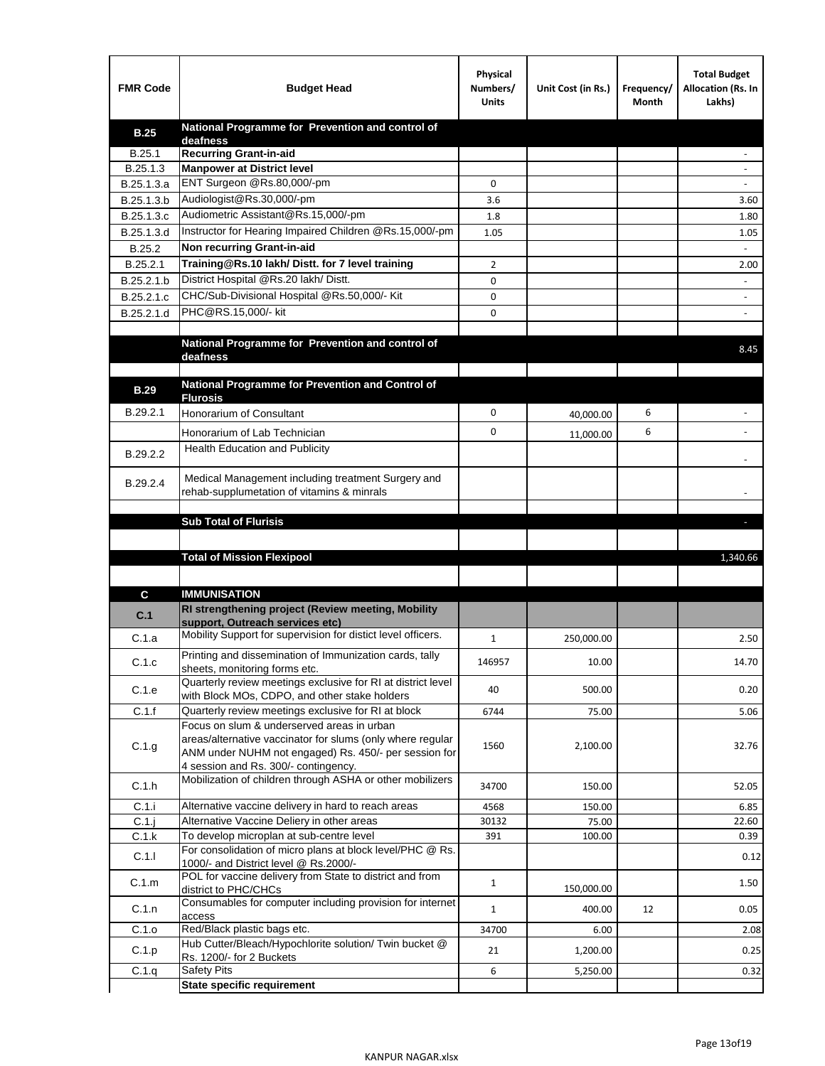| <b>FMR Code</b> | <b>Budget Head</b>                                                                                   | Physical<br>Numbers/<br><b>Units</b> | Unit Cost (in Rs.) | Frequency/<br>Month | <b>Total Budget</b><br>Allocation (Rs. In<br>Lakhs) |
|-----------------|------------------------------------------------------------------------------------------------------|--------------------------------------|--------------------|---------------------|-----------------------------------------------------|
| <b>B.25</b>     | National Programme for Prevention and control of                                                     |                                      |                    |                     |                                                     |
| B.25.1          | deafness<br><b>Recurring Grant-in-aid</b>                                                            |                                      |                    |                     |                                                     |
| B.25.1.3        | <b>Manpower at District level</b>                                                                    |                                      |                    |                     |                                                     |
| B.25.1.3.a      | ENT Surgeon @Rs.80,000/-pm                                                                           | 0                                    |                    |                     |                                                     |
| B.25.1.3.b      | Audiologist@Rs.30,000/-pm                                                                            | 3.6                                  |                    |                     | 3.60                                                |
| B.25.1.3.c      | Audiometric Assistant@Rs.15,000/-pm                                                                  | 1.8                                  |                    |                     | 1.80                                                |
| B.25.1.3.d      | Instructor for Hearing Impaired Children @Rs.15,000/-pm                                              | 1.05                                 |                    |                     | 1.05                                                |
| B.25.2          | Non recurring Grant-in-aid                                                                           |                                      |                    |                     |                                                     |
| B.25.2.1        | Training@Rs.10 lakh/ Distt. for 7 level training                                                     | 2                                    |                    |                     | 2.00                                                |
| B.25.2.1.b      | District Hospital @Rs.20 lakh/Distt.                                                                 | 0                                    |                    |                     |                                                     |
| B.25.2.1.c      | CHC/Sub-Divisional Hospital @Rs.50,000/- Kit                                                         | 0                                    |                    |                     |                                                     |
| B.25.2.1.d      | PHC@RS.15,000/- kit                                                                                  | 0                                    |                    |                     |                                                     |
|                 |                                                                                                      |                                      |                    |                     |                                                     |
|                 | National Programme for Prevention and control of                                                     |                                      |                    |                     | 8.45                                                |
|                 | deafness                                                                                             |                                      |                    |                     |                                                     |
|                 | National Programme for Prevention and Control of                                                     |                                      |                    |                     |                                                     |
| <b>B.29</b>     | <b>Flurosis</b>                                                                                      |                                      |                    |                     |                                                     |
| B.29.2.1        | <b>Honorarium of Consultant</b>                                                                      | 0                                    | 40,000.00          | 6                   |                                                     |
|                 | Honorarium of Lab Technician                                                                         | 0                                    | 11,000.00          | 6                   |                                                     |
| B.29.2.2        | Health Education and Publicity                                                                       |                                      |                    |                     |                                                     |
|                 |                                                                                                      |                                      |                    |                     |                                                     |
| B.29.2.4        | Medical Management including treatment Surgery and                                                   |                                      |                    |                     |                                                     |
|                 | rehab-supplumetation of vitamins & minrals                                                           |                                      |                    |                     |                                                     |
|                 | <b>Sub Total of Flurisis</b>                                                                         |                                      |                    |                     | ы                                                   |
|                 |                                                                                                      |                                      |                    |                     |                                                     |
|                 | <b>Total of Mission Flexipool</b>                                                                    |                                      |                    |                     | 1,340.66                                            |
|                 |                                                                                                      |                                      |                    |                     |                                                     |
|                 |                                                                                                      |                                      |                    |                     |                                                     |
| C               | <b>IMMUNISATION</b><br>RI strengthening project (Review meeting, Mobility                            |                                      |                    |                     |                                                     |
| C.1             | support, Outreach services etc)                                                                      |                                      |                    |                     |                                                     |
| C.1.a           | Mobility Support for supervision for distict level officers.                                         | 1                                    | 250,000.00         |                     | 2.50                                                |
|                 | Printing and dissemination of Immunization cards, tally                                              |                                      |                    |                     |                                                     |
| C.1.c           | sheets, monitoring forms etc.                                                                        | 146957                               | 10.00              |                     | 14.70                                               |
| C.1.e           | Quarterly review meetings exclusive for RI at district level                                         | 40                                   | 500.00             |                     | 0.20                                                |
| C.1.f           | with Block MOs, CDPO, and other stake holders<br>Quarterly review meetings exclusive for RI at block |                                      |                    |                     |                                                     |
|                 | Focus on slum & underserved areas in urban                                                           | 6744                                 | 75.00              |                     | 5.06                                                |
|                 | areas/alternative vaccinator for slums (only where regular                                           |                                      |                    |                     |                                                     |
| C.1.g           | ANM under NUHM not engaged) Rs. 450/- per session for                                                | 1560                                 | 2,100.00           |                     | 32.76                                               |
|                 | 4 session and Rs. 300/- contingency.                                                                 |                                      |                    |                     |                                                     |
| C.1.h           | Mobilization of children through ASHA or other mobilizers                                            | 34700                                | 150.00             |                     | 52.05                                               |
| C.1.i           | Alternative vaccine delivery in hard to reach areas                                                  | 4568                                 | 150.00             |                     | 6.85                                                |
| $C.1$ .j        | Alternative Vaccine Deliery in other areas                                                           | 30132                                | 75.00              |                     | 22.60                                               |
| C.1.k           | To develop microplan at sub-centre level                                                             | 391                                  | 100.00             |                     | 0.39                                                |
| C.1.1           | For consolidation of micro plans at block level/PHC @ Rs.                                            |                                      |                    |                     | 0.12                                                |
|                 | 1000/- and District level @ Rs.2000/-<br>POL for vaccine delivery from State to district and from    |                                      |                    |                     |                                                     |
| C.1.m           | district to PHC/CHCs                                                                                 | $\mathbf{1}$                         | 150,000.00         |                     | 1.50                                                |
| C.1.n           | Consumables for computer including provision for internet                                            | $\mathbf{1}$                         | 400.00             | 12                  | 0.05                                                |
|                 | access                                                                                               |                                      |                    |                     |                                                     |
| C.1.o           | Red/Black plastic bags etc.<br>Hub Cutter/Bleach/Hypochlorite solution/ Twin bucket @                | 34700                                | 6.00               |                     | 2.08                                                |
| C.1.p           | Rs. 1200/- for 2 Buckets                                                                             | 21                                   | 1,200.00           |                     | 0.25                                                |
| C.1.q           | <b>Safety Pits</b>                                                                                   | 6                                    | 5,250.00           |                     | 0.32                                                |
|                 | <b>State specific requirement</b>                                                                    |                                      |                    |                     |                                                     |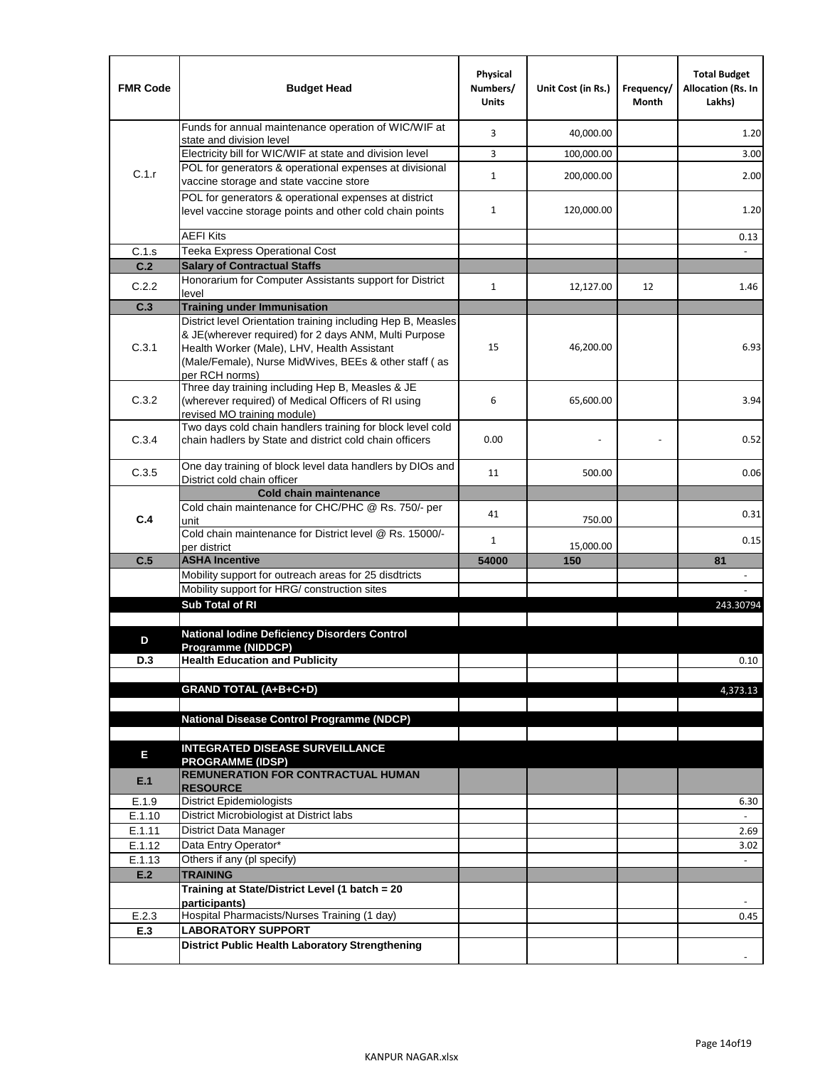| <b>FMR Code</b>  | <b>Budget Head</b>                                                                                    | Physical<br>Numbers/<br><b>Units</b> | Unit Cost (in Rs.) | Frequency/<br>Month | <b>Total Budget</b><br>Allocation (Rs. In<br>Lakhs) |
|------------------|-------------------------------------------------------------------------------------------------------|--------------------------------------|--------------------|---------------------|-----------------------------------------------------|
|                  | Funds for annual maintenance operation of WIC/WIF at<br>state and division level                      | 3                                    | 40,000.00          |                     | 1.20                                                |
|                  | Electricity bill for WIC/WIF at state and division level                                              | 3                                    | 100,000.00         |                     | 3.00                                                |
| C.1.r            | POL for generators & operational expenses at divisional                                               | $\mathbf{1}$                         | 200,000.00         |                     | 2.00                                                |
|                  | vaccine storage and state vaccine store<br>POL for generators & operational expenses at district      |                                      |                    |                     |                                                     |
|                  | level vaccine storage points and other cold chain points                                              | $\mathbf{1}$                         | 120,000.00         |                     | 1.20                                                |
|                  | <b>AEFI Kits</b>                                                                                      |                                      |                    |                     | 0.13                                                |
| C.1.s            | Teeka Express Operational Cost                                                                        |                                      |                    |                     |                                                     |
| C.2              | <b>Salary of Contractual Staffs</b><br>Honorarium for Computer Assistants support for District        |                                      |                    |                     |                                                     |
| C.2.2            | level                                                                                                 | $\mathbf{1}$                         | 12,127.00          | 12                  | 1.46                                                |
| C.3              | <b>Training under Immunisation</b>                                                                    |                                      |                    |                     |                                                     |
|                  | District level Orientation training including Hep B, Measles                                          |                                      |                    |                     |                                                     |
| C.3.1            | & JE(wherever required) for 2 days ANM, Multi Purpose<br>Health Worker (Male), LHV, Health Assistant  | 15                                   | 46,200.00          |                     | 6.93                                                |
|                  | (Male/Female), Nurse MidWives, BEEs & other staff (as                                                 |                                      |                    |                     |                                                     |
|                  | per RCH norms)                                                                                        |                                      |                    |                     |                                                     |
| C.3.2            | Three day training including Hep B, Measles & JE                                                      | 6                                    |                    |                     | 3.94                                                |
|                  | (wherever required) of Medical Officers of RI using<br>revised MO training module)                    |                                      | 65,600.00          |                     |                                                     |
|                  | Two days cold chain handlers training for block level cold                                            |                                      |                    |                     |                                                     |
| C.3.4            | chain hadlers by State and district cold chain officers                                               | 0.00                                 |                    |                     | 0.52                                                |
|                  | One day training of block level data handlers by DIOs and                                             |                                      |                    |                     |                                                     |
| C.3.5            | District cold chain officer                                                                           | 11                                   | 500.00             |                     | 0.06                                                |
|                  | <b>Cold chain maintenance</b>                                                                         |                                      |                    |                     |                                                     |
| C.4              | Cold chain maintenance for CHC/PHC @ Rs. 750/- per<br>unit                                            | 41                                   | 750.00             |                     | 0.31                                                |
|                  | Cold chain maintenance for District level @ Rs. 15000/-                                               | 1                                    |                    |                     | 0.15                                                |
|                  | per district                                                                                          |                                      | 15,000.00          |                     |                                                     |
| C.5              | <b>ASHA Incentive</b>                                                                                 | 54000                                | 150                |                     | 81                                                  |
|                  | Mobility support for outreach areas for 25 disdtricts<br>Mobility support for HRG/ construction sites |                                      |                    |                     |                                                     |
|                  | Sub Total of RI                                                                                       |                                      |                    |                     | 243.30794                                           |
|                  |                                                                                                       |                                      |                    |                     |                                                     |
| D                | <b>National lodine Deficiency Disorders Control</b>                                                   |                                      |                    |                     |                                                     |
| D.3              | Programme (NIDDCP)<br><b>Health Education and Publicity</b>                                           |                                      |                    |                     | 0.10                                                |
|                  |                                                                                                       |                                      |                    |                     |                                                     |
|                  | <b>GRAND TOTAL (A+B+C+D)</b>                                                                          |                                      |                    |                     | 4,373.13                                            |
|                  |                                                                                                       |                                      |                    |                     |                                                     |
|                  | National Disease Control Programme (NDCP)                                                             |                                      |                    |                     |                                                     |
|                  | <b>INTEGRATED DISEASE SURVEILLANCE</b>                                                                |                                      |                    |                     |                                                     |
| Е                | <b>PROGRAMME (IDSP)</b>                                                                               |                                      |                    |                     |                                                     |
| E.1              | <b>REMUNERATION FOR CONTRACTUAL HUMAN</b><br><b>RESOURCE</b>                                          |                                      |                    |                     |                                                     |
| E.1.9            | District Epidemiologists                                                                              |                                      |                    |                     | 6.30                                                |
| E.1.10           | District Microbiologist at District labs                                                              |                                      |                    |                     |                                                     |
| E.1.11<br>E.1.12 | District Data Manager<br>Data Entry Operator*                                                         |                                      |                    |                     | 2.69                                                |
| E.1.13           | Others if any (pl specify)                                                                            |                                      |                    |                     | 3.02<br>$\omega$                                    |
| E.2              | <b>TRAINING</b>                                                                                       |                                      |                    |                     |                                                     |
|                  | Training at State/District Level (1 batch = 20                                                        |                                      |                    |                     |                                                     |
|                  | participants)                                                                                         |                                      |                    |                     |                                                     |
| E.2.3            | Hospital Pharmacists/Nurses Training (1 day)                                                          |                                      |                    |                     | 0.45                                                |
| E.3              | <b>LABORATORY SUPPORT</b><br><b>District Public Health Laboratory Strengthening</b>                   |                                      |                    |                     |                                                     |
|                  |                                                                                                       |                                      |                    |                     |                                                     |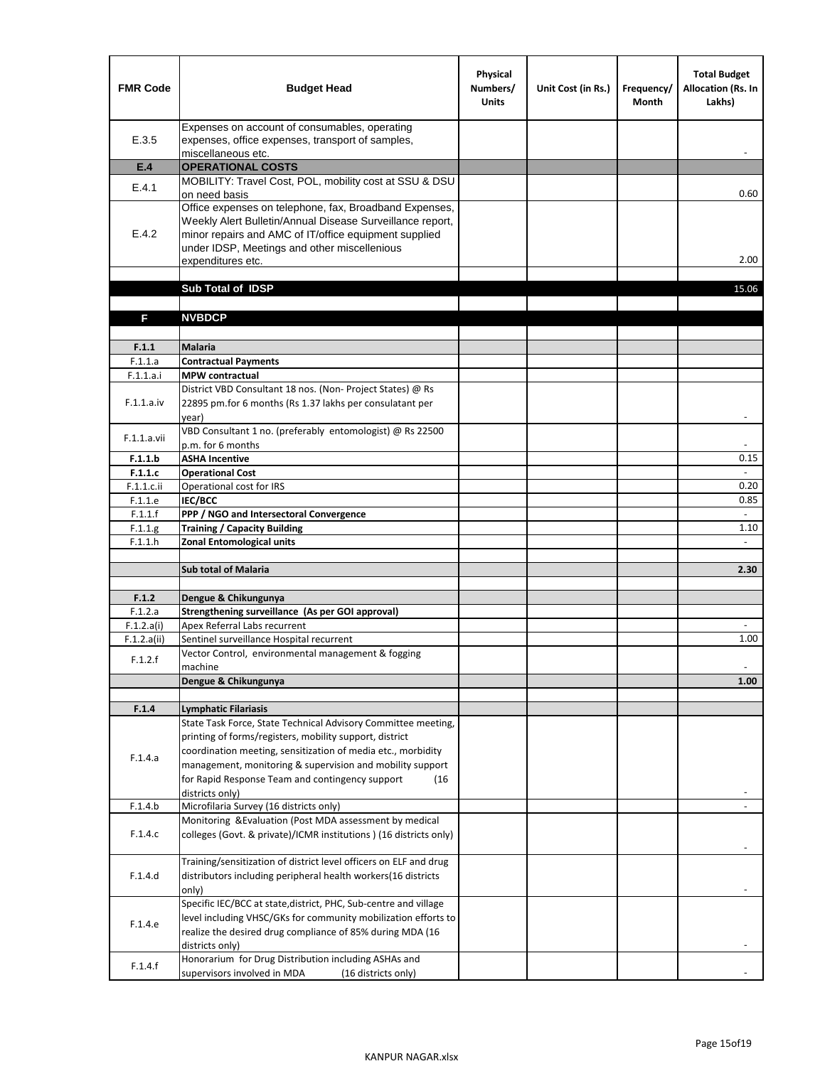| <b>FMR Code</b>    | <b>Budget Head</b>                                                                                                                                                                                                                                | Physical<br>Numbers/<br><b>Units</b> | Unit Cost (in Rs.) | Frequency/<br><b>Month</b> | <b>Total Budget</b><br><b>Allocation (Rs. In</b><br>Lakhs) |
|--------------------|---------------------------------------------------------------------------------------------------------------------------------------------------------------------------------------------------------------------------------------------------|--------------------------------------|--------------------|----------------------------|------------------------------------------------------------|
| E.3.5              | Expenses on account of consumables, operating<br>expenses, office expenses, transport of samples,<br>miscellaneous etc.                                                                                                                           |                                      |                    |                            |                                                            |
| E.4                | <b>OPERATIONAL COSTS</b>                                                                                                                                                                                                                          |                                      |                    |                            |                                                            |
| E.4.1              | MOBILITY: Travel Cost, POL, mobility cost at SSU & DSU                                                                                                                                                                                            |                                      |                    |                            |                                                            |
|                    | on need basis                                                                                                                                                                                                                                     |                                      |                    |                            | 0.60                                                       |
| E.4.2              | Office expenses on telephone, fax, Broadband Expenses,<br>Weekly Alert Bulletin/Annual Disease Surveillance report,<br>minor repairs and AMC of IT/office equipment supplied<br>under IDSP, Meetings and other miscellenious<br>expenditures etc. |                                      |                    |                            | 2.00                                                       |
|                    | Sub Total of IDSP                                                                                                                                                                                                                                 |                                      |                    |                            | 15.06                                                      |
|                    |                                                                                                                                                                                                                                                   |                                      |                    |                            |                                                            |
| F                  | <b>NVBDCP</b>                                                                                                                                                                                                                                     |                                      |                    |                            |                                                            |
|                    |                                                                                                                                                                                                                                                   |                                      |                    |                            |                                                            |
| F.1.1              | <b>Malaria</b>                                                                                                                                                                                                                                    |                                      |                    |                            |                                                            |
| F.1.1.a            | <b>Contractual Payments</b>                                                                                                                                                                                                                       |                                      |                    |                            |                                                            |
| F.1.1.a.i          | <b>MPW</b> contractual<br>District VBD Consultant 18 nos. (Non-Project States) @ Rs                                                                                                                                                               |                                      |                    |                            |                                                            |
| F.1.1.a.iv         | 22895 pm.for 6 months (Rs 1.37 lakhs per consulatant per<br>year)                                                                                                                                                                                 |                                      |                    |                            | $\overline{\phantom{a}}$                                   |
|                    | VBD Consultant 1 no. (preferably entomologist) @ Rs 22500                                                                                                                                                                                         |                                      |                    |                            |                                                            |
| F.1.1.a.vii        | p.m. for 6 months                                                                                                                                                                                                                                 |                                      |                    |                            |                                                            |
| F.1.1.b            | <b>ASHA Incentive</b>                                                                                                                                                                                                                             |                                      |                    |                            | 0.15                                                       |
| F.1.1.c            | <b>Operational Cost</b>                                                                                                                                                                                                                           |                                      |                    |                            |                                                            |
| $F.1.1.c.$ ii      | Operational cost for IRS                                                                                                                                                                                                                          |                                      |                    |                            | 0.20                                                       |
| F.1.1.e<br>F.1.1.f | <b>IEC/BCC</b><br>PPP / NGO and Intersectoral Convergence                                                                                                                                                                                         |                                      |                    |                            | 0.85<br>$\mathbb{L}$                                       |
| F.1.1.g            | <b>Training / Capacity Building</b>                                                                                                                                                                                                               |                                      |                    |                            | 1.10                                                       |
| F.1.1.h            | <b>Zonal Entomological units</b>                                                                                                                                                                                                                  |                                      |                    |                            |                                                            |
|                    |                                                                                                                                                                                                                                                   |                                      |                    |                            |                                                            |
|                    | <b>Sub total of Malaria</b>                                                                                                                                                                                                                       |                                      |                    |                            | 2.30                                                       |
|                    |                                                                                                                                                                                                                                                   |                                      |                    |                            |                                                            |
| F.1.2<br>F.1.2.a   | Dengue & Chikungunya<br>Strengthening surveillance (As per GOI approval)                                                                                                                                                                          |                                      |                    |                            |                                                            |
| F.1.2.a(i)         | Apex Referral Labs recurrent                                                                                                                                                                                                                      |                                      |                    |                            |                                                            |
| F.1.2.a(ii)        | Sentinel surveillance Hospital recurrent                                                                                                                                                                                                          |                                      |                    |                            | 1.00                                                       |
| F.1.2.f            | Vector Control, environmental management & fogging                                                                                                                                                                                                |                                      |                    |                            |                                                            |
|                    | machine                                                                                                                                                                                                                                           |                                      |                    |                            |                                                            |
|                    | Dengue & Chikungunya                                                                                                                                                                                                                              |                                      |                    |                            | 1.00                                                       |
| F.1.4              | <b>Lymphatic Filariasis</b>                                                                                                                                                                                                                       |                                      |                    |                            |                                                            |
|                    | State Task Force, State Technical Advisory Committee meeting,                                                                                                                                                                                     |                                      |                    |                            |                                                            |
|                    | printing of forms/registers, mobility support, district                                                                                                                                                                                           |                                      |                    |                            |                                                            |
| F.1.4.a            | coordination meeting, sensitization of media etc., morbidity                                                                                                                                                                                      |                                      |                    |                            |                                                            |
|                    | management, monitoring & supervision and mobility support                                                                                                                                                                                         |                                      |                    |                            |                                                            |
|                    | for Rapid Response Team and contingency support<br>(16)                                                                                                                                                                                           |                                      |                    |                            |                                                            |
|                    | districts only)                                                                                                                                                                                                                                   |                                      |                    |                            |                                                            |
| F.1.4.b            | Microfilaria Survey (16 districts only)<br>Monitoring & Evaluation (Post MDA assessment by medical                                                                                                                                                |                                      |                    |                            |                                                            |
| F.1.4.c            | colleges (Govt. & private)/ICMR institutions ) (16 districts only)                                                                                                                                                                                |                                      |                    |                            |                                                            |
|                    | Training/sensitization of district level officers on ELF and drug                                                                                                                                                                                 |                                      |                    |                            |                                                            |
| F.1.4.d            | distributors including peripheral health workers(16 districts                                                                                                                                                                                     |                                      |                    |                            |                                                            |
|                    | only)                                                                                                                                                                                                                                             |                                      |                    |                            |                                                            |
|                    | Specific IEC/BCC at state, district, PHC, Sub-centre and village                                                                                                                                                                                  |                                      |                    |                            |                                                            |
| F.1.4.e            | level including VHSC/GKs for community mobilization efforts to                                                                                                                                                                                    |                                      |                    |                            |                                                            |
|                    | realize the desired drug compliance of 85% during MDA (16<br>districts only)                                                                                                                                                                      |                                      |                    |                            |                                                            |
|                    | Honorarium for Drug Distribution including ASHAs and                                                                                                                                                                                              |                                      |                    |                            |                                                            |
| F.1.4.f            | supervisors involved in MDA<br>(16 districts only)                                                                                                                                                                                                |                                      |                    |                            |                                                            |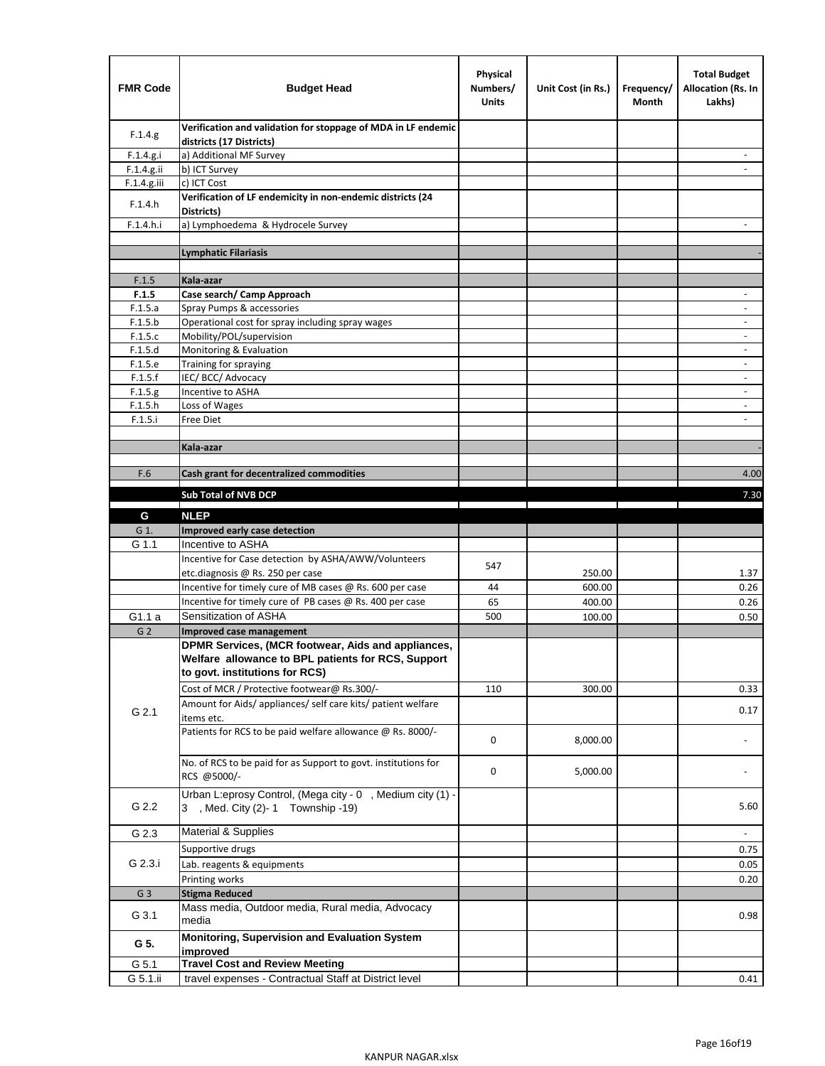| <b>FMR Code</b>    | <b>Budget Head</b>                                                                                                                         | Physical<br>Numbers/<br><b>Units</b> | Unit Cost (in Rs.) | Frequency/<br>Month | <b>Total Budget</b><br>Allocation (Rs. In<br>Lakhs) |
|--------------------|--------------------------------------------------------------------------------------------------------------------------------------------|--------------------------------------|--------------------|---------------------|-----------------------------------------------------|
| F.1.4.g            | Verification and validation for stoppage of MDA in LF endemic<br>districts (17 Districts)                                                  |                                      |                    |                     |                                                     |
| F.1.4.g.i          | a) Additional MF Survey                                                                                                                    |                                      |                    |                     |                                                     |
| F.1.4.g.ii         | b) ICT Survey                                                                                                                              |                                      |                    |                     |                                                     |
| $F.1.4.g.$ iii     | c) ICT Cost                                                                                                                                |                                      |                    |                     |                                                     |
| F.1.4.h            | Verification of LF endemicity in non-endemic districts (24<br>Districts)                                                                   |                                      |                    |                     |                                                     |
| F.1.4.h.i          | a) Lymphoedema & Hydrocele Survey                                                                                                          |                                      |                    |                     |                                                     |
|                    | <b>Lymphatic Filariasis</b>                                                                                                                |                                      |                    |                     |                                                     |
|                    |                                                                                                                                            |                                      |                    |                     |                                                     |
| F.1.5              | Kala-azar                                                                                                                                  |                                      |                    |                     |                                                     |
| F.1.5              | Case search/ Camp Approach                                                                                                                 |                                      |                    |                     | $\overline{\phantom{a}}$                            |
| F.1.5.a            | Spray Pumps & accessories                                                                                                                  |                                      |                    |                     |                                                     |
| F.1.5.b            | Operational cost for spray including spray wages                                                                                           |                                      |                    |                     |                                                     |
| F.1.5.c            | Mobility/POL/supervision                                                                                                                   |                                      |                    |                     | $\overline{\phantom{a}}$<br>$\sim$                  |
| F.1.5.d            | Monitoring & Evaluation                                                                                                                    |                                      |                    |                     |                                                     |
| F.1.5.e<br>F.1.5.f | Training for spraying<br>IEC/BCC/Advocacy                                                                                                  |                                      |                    |                     | $\overline{\phantom{a}}$                            |
| F.1.5.g            | Incentive to ASHA                                                                                                                          |                                      |                    |                     | $\overline{\phantom{a}}$                            |
| F.1.5.h            | Loss of Wages                                                                                                                              |                                      |                    |                     |                                                     |
| F.1.5.i            | Free Diet                                                                                                                                  |                                      |                    |                     |                                                     |
|                    |                                                                                                                                            |                                      |                    |                     |                                                     |
|                    | Kala-azar                                                                                                                                  |                                      |                    |                     |                                                     |
|                    |                                                                                                                                            |                                      |                    |                     |                                                     |
| F.6                | Cash grant for decentralized commodities                                                                                                   |                                      |                    |                     | 4.00                                                |
|                    | Sub Total of NVB DCP                                                                                                                       |                                      |                    |                     | 7.30                                                |
| G                  | <b>NLEP</b>                                                                                                                                |                                      |                    |                     |                                                     |
| G 1.               | Improved early case detection                                                                                                              |                                      |                    |                     |                                                     |
| G 1.1              | Incentive to ASHA                                                                                                                          |                                      |                    |                     |                                                     |
|                    | Incentive for Case detection by ASHA/AWW/Volunteers                                                                                        |                                      |                    |                     |                                                     |
|                    | etc.diagnosis @ Rs. 250 per case                                                                                                           | 547                                  | 250.00             |                     | 1.37                                                |
|                    | Incentive for timely cure of MB cases @ Rs. 600 per case                                                                                   | 44                                   | 600.00             |                     | 0.26                                                |
|                    | Incentive for timely cure of PB cases @ Rs. 400 per case                                                                                   | 65                                   | 400.00             |                     | 0.26                                                |
| G1.1 a             | Sensitization of ASHA                                                                                                                      | 500                                  | 100.00             |                     | 0.50                                                |
| G <sub>2</sub>     | Improved case management                                                                                                                   |                                      |                    |                     |                                                     |
|                    | DPMR Services, (MCR footwear, Aids and appliances,<br>Welfare allowance to BPL patients for RCS, Support<br>to govt. institutions for RCS) |                                      |                    |                     |                                                     |
|                    | Cost of MCR / Protective footwear@ Rs.300/-                                                                                                | 110                                  | 300.00             |                     | 0.33                                                |
| G 2.1              | Amount for Aids/ appliances/ self care kits/ patient welfare<br>items etc.                                                                 |                                      |                    |                     | 0.17                                                |
|                    | Patients for RCS to be paid welfare allowance @ Rs. 8000/-                                                                                 | 0                                    | 8,000.00           |                     |                                                     |
|                    | No. of RCS to be paid for as Support to govt. institutions for<br>RCS @5000/-                                                              | 0                                    | 5,000.00           |                     |                                                     |
| G 2.2              | Urban L:eprosy Control, (Mega city - 0, Medium city (1) -<br>3 , Med. City (2)-1 Township -19)                                             |                                      |                    |                     | 5.60                                                |
| G 2.3              | <b>Material &amp; Supplies</b>                                                                                                             |                                      |                    |                     |                                                     |
| G 2.3.i            | Supportive drugs                                                                                                                           |                                      |                    |                     | 0.75                                                |
|                    | Lab. reagents & equipments                                                                                                                 |                                      |                    |                     | 0.05                                                |
|                    | Printing works                                                                                                                             |                                      |                    |                     | 0.20                                                |
| G <sub>3</sub>     | <b>Stigma Reduced</b>                                                                                                                      |                                      |                    |                     |                                                     |
| G 3.1              | Mass media, Outdoor media, Rural media, Advocacy<br>media                                                                                  |                                      |                    |                     | 0.98                                                |
| G 5.               | Monitoring, Supervision and Evaluation System<br>improved                                                                                  |                                      |                    |                     |                                                     |
| G 5.1              |                                                                                                                                            |                                      |                    |                     |                                                     |
|                    | <b>Travel Cost and Review Meeting</b>                                                                                                      |                                      |                    |                     |                                                     |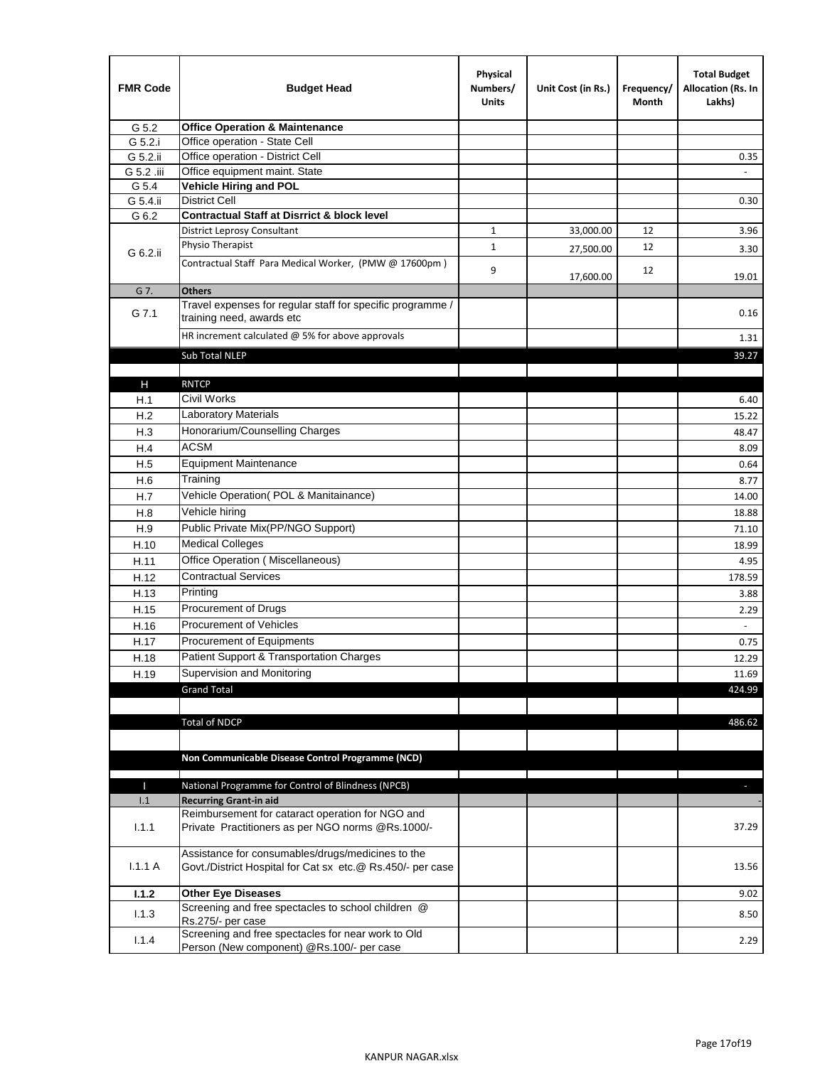| <b>FMR Code</b> | <b>Budget Head</b>                                                                                              | Physical<br>Numbers/<br><b>Units</b> | Unit Cost (in Rs.) | Frequency/<br>Month | <b>Total Budget</b><br>Allocation (Rs. In<br>Lakhs) |
|-----------------|-----------------------------------------------------------------------------------------------------------------|--------------------------------------|--------------------|---------------------|-----------------------------------------------------|
| G 5.2           | <b>Office Operation &amp; Maintenance</b>                                                                       |                                      |                    |                     |                                                     |
| G 5.2.i         | Office operation - State Cell                                                                                   |                                      |                    |                     |                                                     |
| G 5.2.ii        | Office operation - District Cell                                                                                |                                      |                    |                     | 0.35                                                |
| G 5.2 .iii      | Office equipment maint. State                                                                                   |                                      |                    |                     |                                                     |
| G 5.4           | <b>Vehicle Hiring and POL</b>                                                                                   |                                      |                    |                     |                                                     |
| G 5.4.ii        | <b>District Cell</b>                                                                                            |                                      |                    |                     | 0.30                                                |
| G 6.2           | <b>Contractual Staff at Disrrict &amp; block level</b>                                                          |                                      |                    |                     |                                                     |
|                 | <b>District Leprosy Consultant</b>                                                                              | 1                                    | 33,000.00          | 12                  | 3.96                                                |
| G 6.2.ii        | Physio Therapist                                                                                                | $\mathbf{1}$                         | 27,500.00          | 12                  | 3.30                                                |
|                 | Contractual Staff Para Medical Worker, (PMW @ 17600pm)                                                          | 9                                    | 17,600.00          | 12                  | 19.01                                               |
| G 7.            | <b>Others</b>                                                                                                   |                                      |                    |                     |                                                     |
| G 7.1           | Travel expenses for regular staff for specific programme /<br>training need, awards etc                         |                                      |                    |                     | 0.16                                                |
|                 | HR increment calculated $\omega$ 5% for above approvals                                                         |                                      |                    |                     | 1.31                                                |
|                 | Sub Total NLEP                                                                                                  |                                      |                    |                     | 39.27                                               |
|                 |                                                                                                                 |                                      |                    |                     |                                                     |
| Н               | <b>RNTCP</b>                                                                                                    |                                      |                    |                     |                                                     |
| H.1             | Civil Works                                                                                                     |                                      |                    |                     | 6.40                                                |
| H.2             | <b>Laboratory Materials</b>                                                                                     |                                      |                    |                     | 15.22                                               |
| H.3             | Honorarium/Counselling Charges                                                                                  |                                      |                    |                     | 48.47                                               |
| H.4             | <b>ACSM</b>                                                                                                     |                                      |                    |                     | 8.09                                                |
| H.5             | <b>Equipment Maintenance</b>                                                                                    |                                      |                    |                     | 0.64                                                |
| H.6             | Training                                                                                                        |                                      |                    |                     | 8.77                                                |
| H.7             | Vehicle Operation(POL & Manitainance)                                                                           |                                      |                    |                     | 14.00                                               |
| H.8             | Vehicle hiring                                                                                                  |                                      |                    |                     | 18.88                                               |
| H.9             | Public Private Mix(PP/NGO Support)                                                                              |                                      |                    |                     | 71.10                                               |
| H.10            | <b>Medical Colleges</b>                                                                                         |                                      |                    |                     | 18.99                                               |
| H.11            | Office Operation (Miscellaneous)                                                                                |                                      |                    |                     | 4.95                                                |
| H.12            | <b>Contractual Services</b>                                                                                     |                                      |                    |                     | 178.59                                              |
| H.13            | Printing                                                                                                        |                                      |                    |                     | 3.88                                                |
| H.15            | Procurement of Drugs                                                                                            |                                      |                    |                     | 2.29                                                |
| H.16            | Procurement of Vehicles                                                                                         |                                      |                    |                     | $\sim$                                              |
| H.17            | Procurement of Equipments                                                                                       |                                      |                    |                     | 0.75                                                |
| H.18            | Patient Support & Transportation Charges                                                                        |                                      |                    |                     | 12.29                                               |
| H.19            | Supervision and Monitoring                                                                                      |                                      |                    |                     | 11.69                                               |
|                 | <b>Grand Total</b>                                                                                              |                                      |                    |                     | 424.99                                              |
|                 |                                                                                                                 |                                      |                    |                     |                                                     |
|                 | <b>Total of NDCP</b>                                                                                            |                                      |                    |                     | 486.62                                              |
|                 |                                                                                                                 |                                      |                    |                     |                                                     |
|                 | Non Communicable Disease Control Programme (NCD)                                                                |                                      |                    |                     |                                                     |
|                 |                                                                                                                 |                                      |                    |                     |                                                     |
| Т               | National Programme for Control of Blindness (NPCB)                                                              |                                      |                    |                     | ÷.                                                  |
| 1.1             | <b>Recurring Grant-in aid</b>                                                                                   |                                      |                    |                     |                                                     |
|                 | Reimbursement for cataract operation for NGO and                                                                |                                      |                    |                     |                                                     |
| 1.1.1           | Private Practitioners as per NGO norms @Rs.1000/-                                                               |                                      |                    |                     | 37.29                                               |
| 1.1.1A          | Assistance for consumables/drugs/medicines to the<br>Govt./District Hospital for Cat sx etc.@ Rs.450/- per case |                                      |                    |                     | 13.56                                               |
| 1.1.2           | <b>Other Eye Diseases</b>                                                                                       |                                      |                    |                     | 9.02                                                |
| 1.1.3           | Screening and free spectacles to school children @                                                              |                                      |                    |                     | 8.50                                                |
|                 | Rs.275/- per case                                                                                               |                                      |                    |                     |                                                     |
| 1.1.4           | Screening and free spectacles for near work to Old<br>Person (New component) @Rs.100/- per case                 |                                      |                    |                     | 2.29                                                |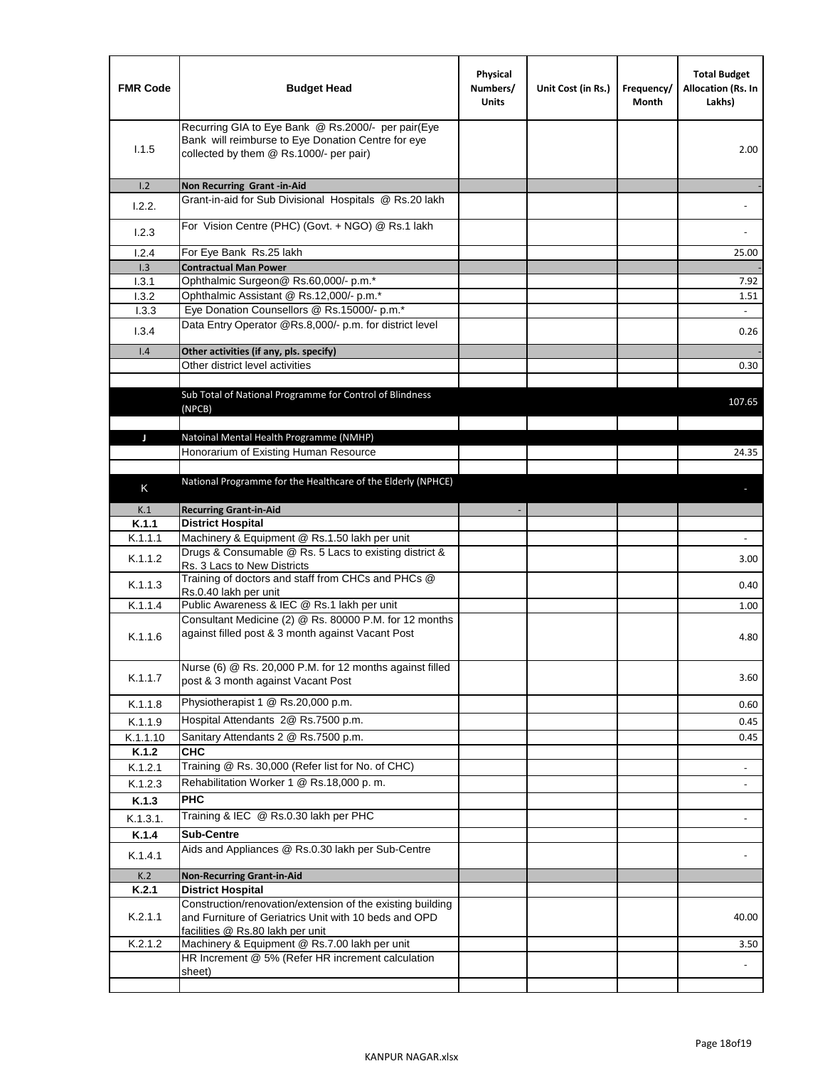| <b>FMR Code</b> | <b>Budget Head</b>                                                                                                                                      | Physical<br>Numbers/<br><b>Units</b> | Unit Cost (in Rs.) | Frequency/<br>Month | <b>Total Budget</b><br>Allocation (Rs. In<br>Lakhs) |
|-----------------|---------------------------------------------------------------------------------------------------------------------------------------------------------|--------------------------------------|--------------------|---------------------|-----------------------------------------------------|
| 1.1.5           | Recurring GIA to Eye Bank @ Rs.2000/- per pair(Eye<br>Bank will reimburse to Eye Donation Centre for eye<br>collected by them @ Rs.1000/- per pair)     |                                      |                    |                     | 2.00                                                |
| 1.2             | Non Recurring Grant-in-Aid<br>Grant-in-aid for Sub Divisional Hospitals @ Rs.20 lakh                                                                    |                                      |                    |                     |                                                     |
| 1.2.2.          |                                                                                                                                                         |                                      |                    |                     |                                                     |
| 1.2.3           | For Vision Centre (PHC) (Govt. + NGO) @ Rs.1 lakh                                                                                                       |                                      |                    |                     |                                                     |
| 1.2.4           | For Eye Bank Rs.25 lakh                                                                                                                                 |                                      |                    |                     | 25.00                                               |
| 1.3             | <b>Contractual Man Power</b>                                                                                                                            |                                      |                    |                     |                                                     |
| 1.3.1<br>1.3.2  | Ophthalmic Surgeon@ Rs.60,000/- p.m.*<br>Ophthalmic Assistant @ Rs.12,000/- p.m.*                                                                       |                                      |                    |                     | 7.92<br>1.51                                        |
| 1.3.3           | Eye Donation Counsellors @ Rs.15000/- p.m.*                                                                                                             |                                      |                    |                     | $\omega$                                            |
|                 | Data Entry Operator @Rs.8,000/- p.m. for district level                                                                                                 |                                      |                    |                     |                                                     |
| 1.3.4           |                                                                                                                                                         |                                      |                    |                     | 0.26                                                |
| 1.4             | Other activities (if any, pls. specify)                                                                                                                 |                                      |                    |                     |                                                     |
|                 | Other district level activities                                                                                                                         |                                      |                    |                     | 0.30                                                |
|                 | Sub Total of National Programme for Control of Blindness<br>(NPCB)                                                                                      |                                      |                    |                     | 107.65                                              |
| J               | Natoinal Mental Health Programme (NMHP)                                                                                                                 |                                      |                    |                     |                                                     |
|                 | Honorarium of Existing Human Resource                                                                                                                   |                                      |                    |                     | 24.35                                               |
|                 |                                                                                                                                                         |                                      |                    |                     |                                                     |
| K               | National Programme for the Healthcare of the Elderly (NPHCE)                                                                                            |                                      |                    |                     |                                                     |
|                 |                                                                                                                                                         |                                      |                    |                     |                                                     |
| K.1<br>K.1.1    | <b>Recurring Grant-in-Aid</b>                                                                                                                           |                                      |                    |                     |                                                     |
| K.1.1.1         | <b>District Hospital</b><br>Machinery & Equipment @ Rs.1.50 lakh per unit                                                                               |                                      |                    |                     |                                                     |
| K.1.1.2         | Drugs & Consumable @ Rs. 5 Lacs to existing district &                                                                                                  |                                      |                    |                     | 3.00                                                |
| K.1.1.3         | Rs. 3 Lacs to New Districts<br>Training of doctors and staff from CHCs and PHCs @                                                                       |                                      |                    |                     | 0.40                                                |
|                 | Rs.0.40 lakh per unit                                                                                                                                   |                                      |                    |                     |                                                     |
| K.1.1.4         | Public Awareness & IEC @ Rs.1 lakh per unit<br>Consultant Medicine (2) @ Rs. 80000 P.M. for 12 months                                                   |                                      |                    |                     | 1.00                                                |
| K.1.1.6         | against filled post & 3 month against Vacant Post                                                                                                       |                                      |                    |                     | 4.80                                                |
| K.1.1.7         | Nurse (6) @ Rs. 20,000 P.M. for 12 months against filled<br>post & 3 month against Vacant Post                                                          |                                      |                    |                     | 3.60                                                |
| K.1.1.8         | Physiotherapist 1 @ Rs.20,000 p.m.                                                                                                                      |                                      |                    |                     | 0.60                                                |
| K.1.1.9         | Hospital Attendants 2@ Rs.7500 p.m.                                                                                                                     |                                      |                    |                     | 0.45                                                |
| K.1.1.10        | Sanitary Attendants 2 @ Rs.7500 p.m.                                                                                                                    |                                      |                    |                     | 0.45                                                |
| K.1.2           | <b>CHC</b>                                                                                                                                              |                                      |                    |                     |                                                     |
| K.1.2.1         | Training @ Rs. 30,000 (Refer list for No. of CHC)                                                                                                       |                                      |                    |                     |                                                     |
| K.1.2.3         | Rehabilitation Worker 1 @ Rs.18,000 p.m.                                                                                                                |                                      |                    |                     |                                                     |
| K.1.3           | <b>PHC</b>                                                                                                                                              |                                      |                    |                     |                                                     |
| K.1.3.1.        | Training & IEC @ Rs.0.30 lakh per PHC                                                                                                                   |                                      |                    |                     |                                                     |
| K.1.4           | <b>Sub-Centre</b>                                                                                                                                       |                                      |                    |                     |                                                     |
| K.1.4.1         | Aids and Appliances @ Rs.0.30 lakh per Sub-Centre                                                                                                       |                                      |                    |                     |                                                     |
| K.2             | <b>Non-Recurring Grant-in-Aid</b>                                                                                                                       |                                      |                    |                     |                                                     |
| K.2.1           | <b>District Hospital</b>                                                                                                                                |                                      |                    |                     |                                                     |
| K.2.1.1         | Construction/renovation/extension of the existing building<br>and Furniture of Geriatrics Unit with 10 beds and OPD<br>facilities @ Rs.80 lakh per unit |                                      |                    |                     | 40.00                                               |
| K.2.1.2         | Machinery & Equipment @ Rs.7.00 lakh per unit                                                                                                           |                                      |                    |                     | 3.50                                                |
|                 | HR Increment @ 5% (Refer HR increment calculation                                                                                                       |                                      |                    |                     |                                                     |
|                 | sheet)                                                                                                                                                  |                                      |                    |                     |                                                     |